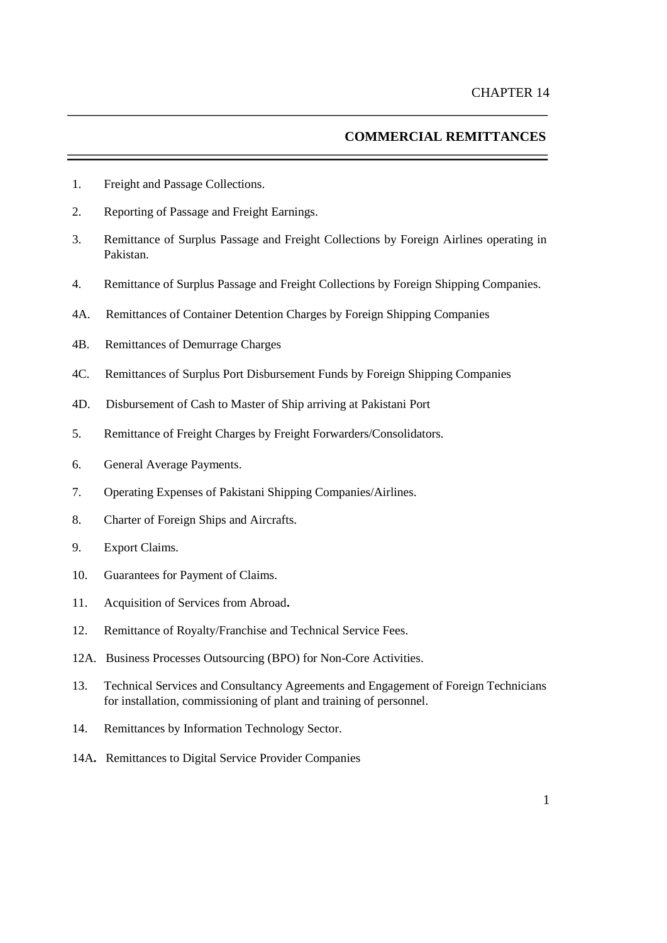# **COMMERCIAL REMITTANCES**

- 1. Freight and Passage Collections.
- 2. Reporting of Passage and Freight Earnings.
- 3. Remittance of Surplus Passage and Freight Collections by Foreign Airlines operating in Pakistan.
- 4. Remittance of Surplus Passage and Freight Collections by Foreign Shipping Companies.
- 4A. Remittances of Container Detention Charges by Foreign Shipping Companies
- 4B. Remittances of Demurrage Charges
- 4C. Remittances of Surplus Port Disbursement Funds by Foreign Shipping Companies
- 4D. Disbursement of Cash to Master of Ship arriving at Pakistani Port
- 5. Remittance of Freight Charges by Freight Forwarders/Consolidators.
- 6. General Average Payments.
- 7. Operating Expenses of Pakistani Shipping Companies/Airlines.
- 8. Charter of Foreign Ships and Aircrafts.
- 9. Export Claims.
- 10. Guarantees for Payment of Claims.
- 11. Acquisition of Services from Abroad**.**
- 12. Remittance of Royalty/Franchise and Technical Service Fees.
- 12A. Business Processes Outsourcing (BPO) for Non-Core Activities.
- 13. Technical Services and Consultancy Agreements and Engagement of Foreign Technicians for installation, commissioning of plant and training of personnel.
- 14. Remittances by Information Technology Sector.
- 14A**.** Remittances to Digital Service Provider Companies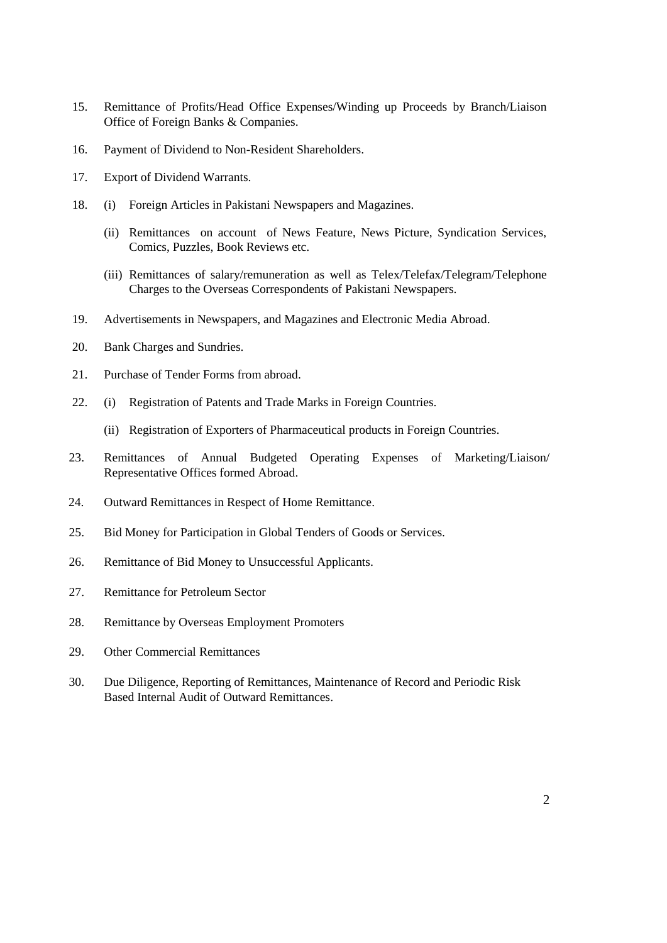- 15. Remittance of Profits/Head Office Expenses/Winding up Proceeds by Branch/Liaison Office of Foreign Banks & Companies.
- 16. Payment of Dividend to Non-Resident Shareholders.
- 17. Export of Dividend Warrants.
- 18. (i) Foreign Articles in Pakistani Newspapers and Magazines.
	- (ii) Remittances on account of News Feature, News Picture, Syndication Services, Comics, Puzzles, Book Reviews etc.
	- (iii) Remittances of salary/remuneration as well as Telex/Telefax/Telegram/Telephone Charges to the Overseas Correspondents of Pakistani Newspapers.
- 19. Advertisements in Newspapers, and Magazines and Electronic Media Abroad.
- 20. Bank Charges and Sundries.
- 21. Purchase of Tender Forms from abroad.
- 22. (i) Registration of Patents and Trade Marks in Foreign Countries.
	- (ii) Registration of Exporters of Pharmaceutical products in Foreign Countries.
- 23. Remittances of Annual Budgeted Operating Expenses of Marketing/Liaison/ Representative Offices formed Abroad.
- 24. Outward Remittances in Respect of Home Remittance.
- 25. Bid Money for Participation in Global Tenders of Goods or Services.
- 26. Remittance of Bid Money to Unsuccessful Applicants.
- 27. Remittance for Petroleum Sector
- 28. Remittance by Overseas Employment Promoters
- 29. Other Commercial Remittances
- 30. Due Diligence, Reporting of Remittances, Maintenance of Record and Periodic Risk Based Internal Audit of Outward Remittances.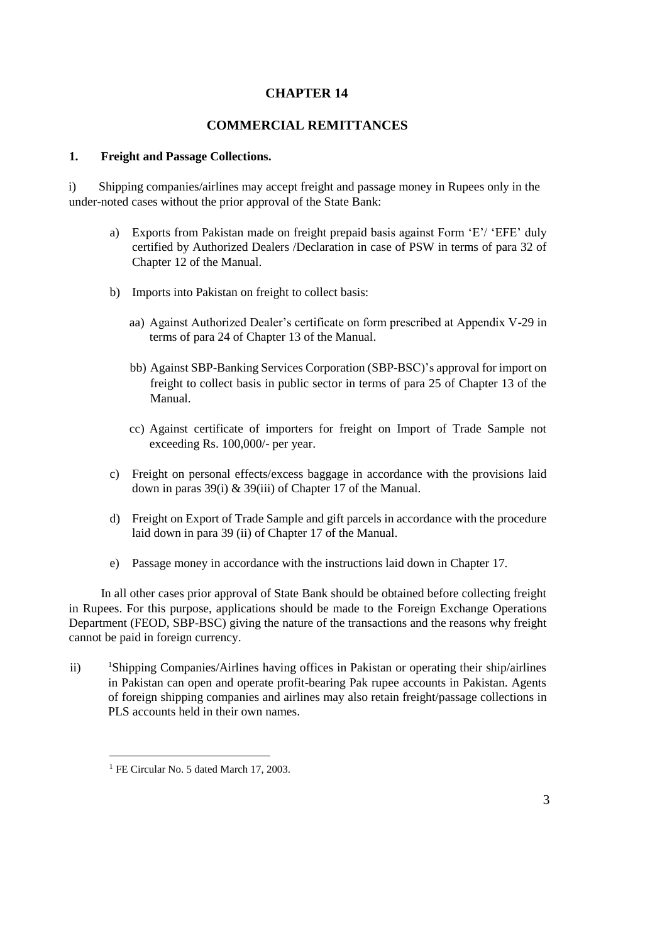## **CHAPTER 14**

### **COMMERCIAL REMITTANCES**

### **1. Freight and Passage Collections.**

i) Shipping companies/airlines may accept freight and passage money in Rupees only in the under-noted cases without the prior approval of the State Bank:

- a) Exports from Pakistan made on freight prepaid basis against Form 'E'/ 'EFE' duly certified by Authorized Dealers /Declaration in case of PSW in terms of para 32 of Chapter 12 of the Manual.
- b) Imports into Pakistan on freight to collect basis:
	- aa) Against Authorized Dealer's certificate on form prescribed at Appendix V-29 in terms of para 24 of Chapter 13 of the Manual.
	- bb) Against SBP-Banking Services Corporation (SBP-BSC)'s approval for import on freight to collect basis in public sector in terms of para 25 of Chapter 13 of the Manual.
	- cc) Against certificate of importers for freight on Import of Trade Sample not exceeding Rs. 100,000/- per year.
- c) Freight on personal effects/excess baggage in accordance with the provisions laid down in paras 39(i) & 39(iii) of Chapter 17 of the Manual.
- d) Freight on Export of Trade Sample and gift parcels in accordance with the procedure laid down in para 39 (ii) of Chapter 17 of the Manual.
- e) Passage money in accordance with the instructions laid down in Chapter 17.

In all other cases prior approval of State Bank should be obtained before collecting freight in Rupees. For this purpose, applications should be made to the Foreign Exchange Operations Department (FEOD, SBP-BSC) giving the nature of the transactions and the reasons why freight cannot be paid in foreign currency.

ii) <sup>1</sup>Shipping Companies/Airlines having offices in Pakistan or operating their ship/airlines in Pakistan can open and operate profit-bearing Pak rupee accounts in Pakistan. Agents of foreign shipping companies and airlines may also retain freight/passage collections in PLS accounts held in their own names.

 $\overline{a}$ 

<sup>&</sup>lt;sup>1</sup> FE Circular No. 5 dated March 17, 2003.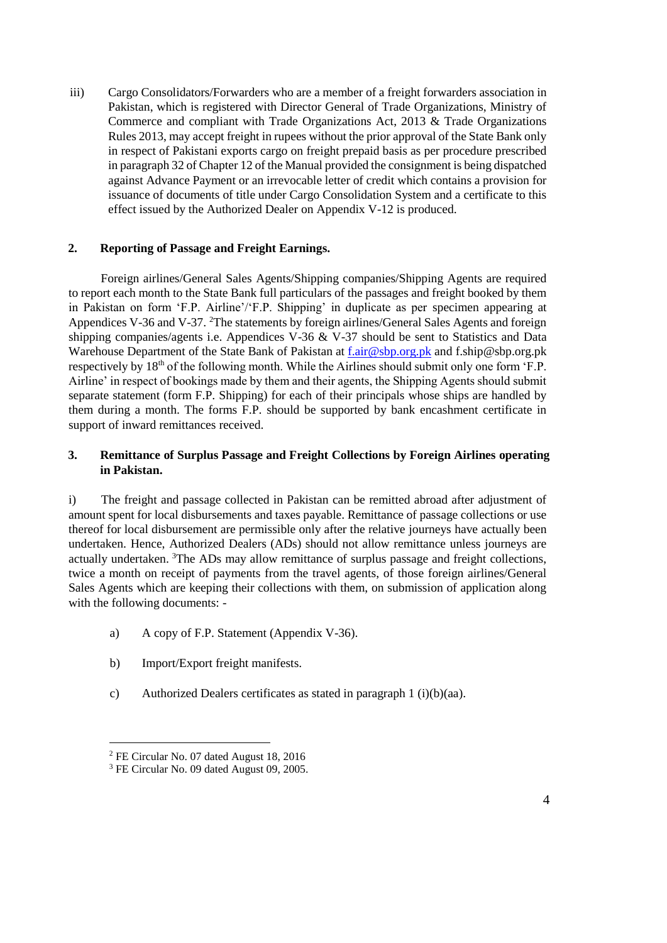iii) Cargo Consolidators/Forwarders who are a member of a freight forwarders association in Pakistan, which is registered with Director General of Trade Organizations, Ministry of Commerce and compliant with Trade Organizations Act, 2013 & Trade Organizations Rules 2013, may accept freight in rupees without the prior approval of the State Bank only in respect of Pakistani exports cargo on freight prepaid basis as per procedure prescribed in paragraph 32 of Chapter 12 of the Manual provided the consignment is being dispatched against Advance Payment or an irrevocable letter of credit which contains a provision for issuance of documents of title under Cargo Consolidation System and a certificate to this effect issued by the Authorized Dealer on Appendix V-12 is produced.

### **2. Reporting of Passage and Freight Earnings.**

Foreign airlines/General Sales Agents/Shipping companies/Shipping Agents are required to report each month to the State Bank full particulars of the passages and freight booked by them in Pakistan on form 'F.P. Airline'/'F.P. Shipping' in duplicate as per specimen appearing at Appendices V-36 and V-37. <sup>2</sup>The statements by foreign airlines/General Sales Agents and foreign shipping companies/agents i.e. Appendices V-36 & V-37 should be sent to Statistics and Data Warehouse Department of the State Bank of Pakistan at f.air@sbp.org.pk and f.ship@sbp.org.pk respectively by 18<sup>th</sup> of the following month. While the Airlines should submit only one form 'F.P. Airline' in respect of bookings made by them and their agents, the Shipping Agents should submit separate statement (form F.P. Shipping) for each of their principals whose ships are handled by them during a month. The forms F.P. should be supported by bank encashment certificate in support of inward remittances received.

## **3. Remittance of Surplus Passage and Freight Collections by Foreign Airlines operating in Pakistan.**

i) The freight and passage collected in Pakistan can be remitted abroad after adjustment of amount spent for local disbursements and taxes payable. Remittance of passage collections or use thereof for local disbursement are permissible only after the relative journeys have actually been undertaken. Hence, Authorized Dealers (ADs) should not allow remittance unless journeys are actually undertaken. <sup>3</sup>The ADs may allow remittance of surplus passage and freight collections, twice a month on receipt of payments from the travel agents, of those foreign airlines/General Sales Agents which are keeping their collections with them, on submission of application along with the following documents: -

- a) A copy of F.P. Statement (Appendix V-36).
- b) Import/Export freight manifests.
- c) Authorized Dealers certificates as stated in paragraph 1 (i)(b)(aa).

l

<sup>2</sup> FE Circular No. 07 dated August 18, 2016

<sup>&</sup>lt;sup>3</sup> FE Circular No. 09 dated August 09, 2005.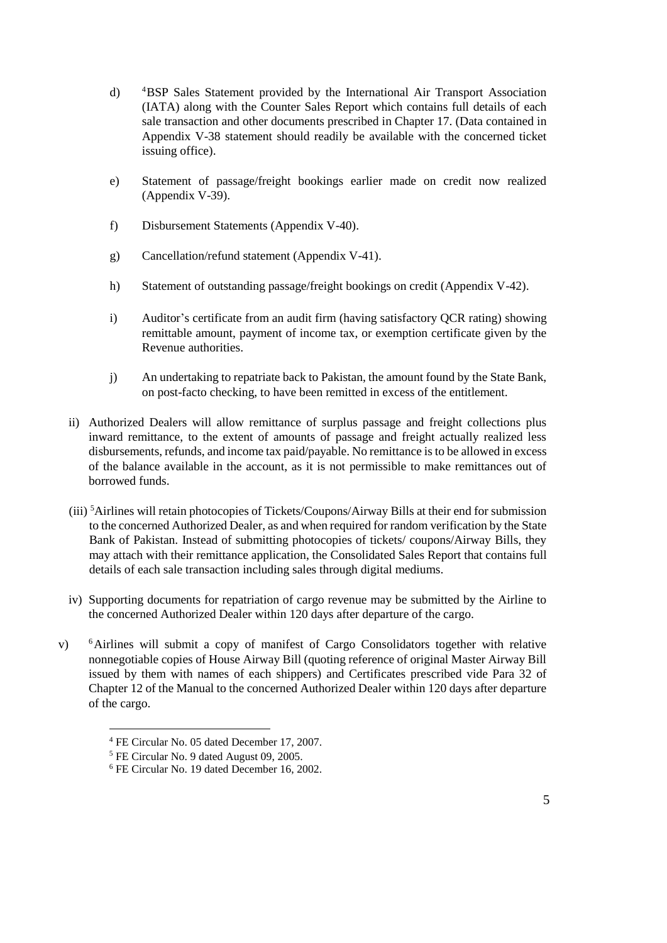- d) <sup>4</sup>BSP Sales Statement provided by the International Air Transport Association (IATA) along with the Counter Sales Report which contains full details of each sale transaction and other documents prescribed in Chapter 17. (Data contained in Appendix V-38 statement should readily be available with the concerned ticket issuing office).
- e) Statement of passage/freight bookings earlier made on credit now realized (Appendix V-39).
- f) Disbursement Statements (Appendix V-40).
- g) Cancellation/refund statement (Appendix V-41).
- h) Statement of outstanding passage/freight bookings on credit (Appendix V-42).
- i) Auditor's certificate from an audit firm (having satisfactory QCR rating) showing remittable amount, payment of income tax, or exemption certificate given by the Revenue authorities.
- j) An undertaking to repatriate back to Pakistan, the amount found by the State Bank, on post-facto checking, to have been remitted in excess of the entitlement.
- ii) Authorized Dealers will allow remittance of surplus passage and freight collections plus inward remittance, to the extent of amounts of passage and freight actually realized less disbursements, refunds, and income tax paid/payable. No remittance is to be allowed in excess of the balance available in the account, as it is not permissible to make remittances out of borrowed funds.
- (iii) <sup>5</sup>Airlines will retain photocopies of Tickets/Coupons/Airway Bills at their end for submission to the concerned Authorized Dealer, as and when required for random verification by the State Bank of Pakistan. Instead of submitting photocopies of tickets/ coupons/Airway Bills, they may attach with their remittance application, the Consolidated Sales Report that contains full details of each sale transaction including sales through digital mediums.
- iv) Supporting documents for repatriation of cargo revenue may be submitted by the Airline to the concerned Authorized Dealer within 120 days after departure of the cargo.
- v) <sup>6</sup>Airlines will submit a copy of manifest of Cargo Consolidators together with relative nonnegotiable copies of House Airway Bill (quoting reference of original Master Airway Bill issued by them with names of each shippers) and Certificates prescribed vide Para 32 of Chapter 12 of the Manual to the concerned Authorized Dealer within 120 days after departure of the cargo.

l

<sup>4</sup> FE Circular No. 05 dated December 17, 2007.

<sup>5</sup> FE Circular No. 9 dated August 09, 2005.

<sup>6</sup> FE Circular No. 19 dated December 16, 2002.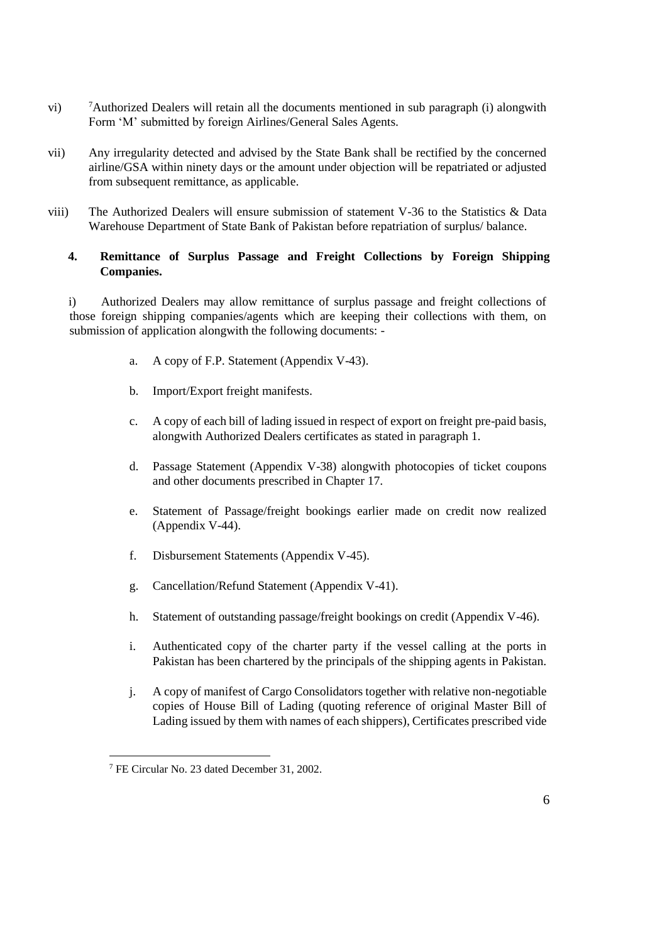- vi) <sup>7</sup>Authorized Dealers will retain all the documents mentioned in sub paragraph (i) alongwith Form 'M' submitted by foreign Airlines/General Sales Agents.
- vii) Any irregularity detected and advised by the State Bank shall be rectified by the concerned airline/GSA within ninety days or the amount under objection will be repatriated or adjusted from subsequent remittance, as applicable.
- viii) The Authorized Dealers will ensure submission of statement V-36 to the Statistics & Data Warehouse Department of State Bank of Pakistan before repatriation of surplus/ balance.

## **4. Remittance of Surplus Passage and Freight Collections by Foreign Shipping Companies.**

i) Authorized Dealers may allow remittance of surplus passage and freight collections of those foreign shipping companies/agents which are keeping their collections with them, on submission of application alongwith the following documents: -

- a. A copy of F.P. Statement (Appendix V-43).
- b. Import/Export freight manifests.
- c. A copy of each bill of lading issued in respect of export on freight pre-paid basis, alongwith Authorized Dealers certificates as stated in paragraph 1.
- d. Passage Statement (Appendix V-38) alongwith photocopies of ticket coupons and other documents prescribed in Chapter 17.
- e. Statement of Passage/freight bookings earlier made on credit now realized (Appendix V-44).
- f. Disbursement Statements (Appendix V-45).
- g. Cancellation/Refund Statement (Appendix V-41).
- h. Statement of outstanding passage/freight bookings on credit (Appendix V-46).
- i. Authenticated copy of the charter party if the vessel calling at the ports in Pakistan has been chartered by the principals of the shipping agents in Pakistan.
- j. A copy of manifest of Cargo Consolidators together with relative non-negotiable copies of House Bill of Lading (quoting reference of original Master Bill of Lading issued by them with names of each shippers), Certificates prescribed vide

 $\overline{a}$ 

<sup>&</sup>lt;sup>7</sup> FE Circular No. 23 dated December 31, 2002.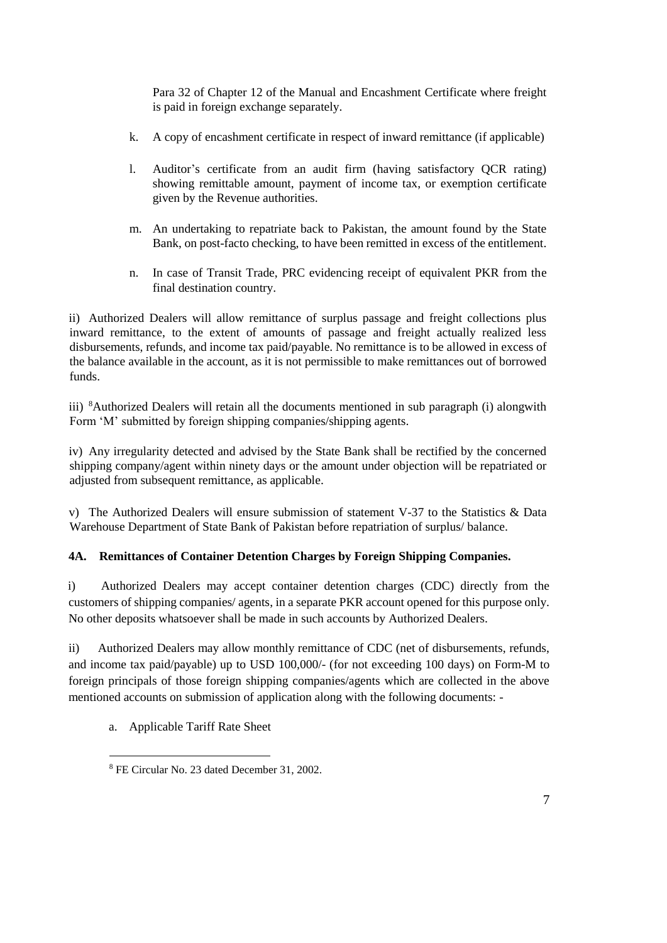Para 32 of Chapter 12 of the Manual and Encashment Certificate where freight is paid in foreign exchange separately.

- k. A copy of encashment certificate in respect of inward remittance (if applicable)
- l. Auditor's certificate from an audit firm (having satisfactory QCR rating) showing remittable amount, payment of income tax, or exemption certificate given by the Revenue authorities.
- m. An undertaking to repatriate back to Pakistan, the amount found by the State Bank, on post-facto checking, to have been remitted in excess of the entitlement.
- n. In case of Transit Trade, PRC evidencing receipt of equivalent PKR from the final destination country.

ii) Authorized Dealers will allow remittance of surplus passage and freight collections plus inward remittance, to the extent of amounts of passage and freight actually realized less disbursements, refunds, and income tax paid/payable. No remittance is to be allowed in excess of the balance available in the account, as it is not permissible to make remittances out of borrowed funds.

iii) <sup>8</sup>Authorized Dealers will retain all the documents mentioned in sub paragraph (i) alongwith Form 'M' submitted by foreign shipping companies/shipping agents.

iv) Any irregularity detected and advised by the State Bank shall be rectified by the concerned shipping company/agent within ninety days or the amount under objection will be repatriated or adjusted from subsequent remittance, as applicable.

v) The Authorized Dealers will ensure submission of statement V-37 to the Statistics & Data Warehouse Department of State Bank of Pakistan before repatriation of surplus/ balance.

## **4A. Remittances of Container Detention Charges by Foreign Shipping Companies.**

i) Authorized Dealers may accept container detention charges (CDC) directly from the customers of shipping companies/ agents, in a separate PKR account opened for this purpose only. No other deposits whatsoever shall be made in such accounts by Authorized Dealers.

ii) Authorized Dealers may allow monthly remittance of CDC (net of disbursements, refunds, and income tax paid/payable) up to USD 100,000/- (for not exceeding 100 days) on Form-M to foreign principals of those foreign shipping companies/agents which are collected in the above mentioned accounts on submission of application along with the following documents: -

a. Applicable Tariff Rate Sheet

 $\overline{a}$ 

<sup>8</sup> FE Circular No. 23 dated December 31, 2002.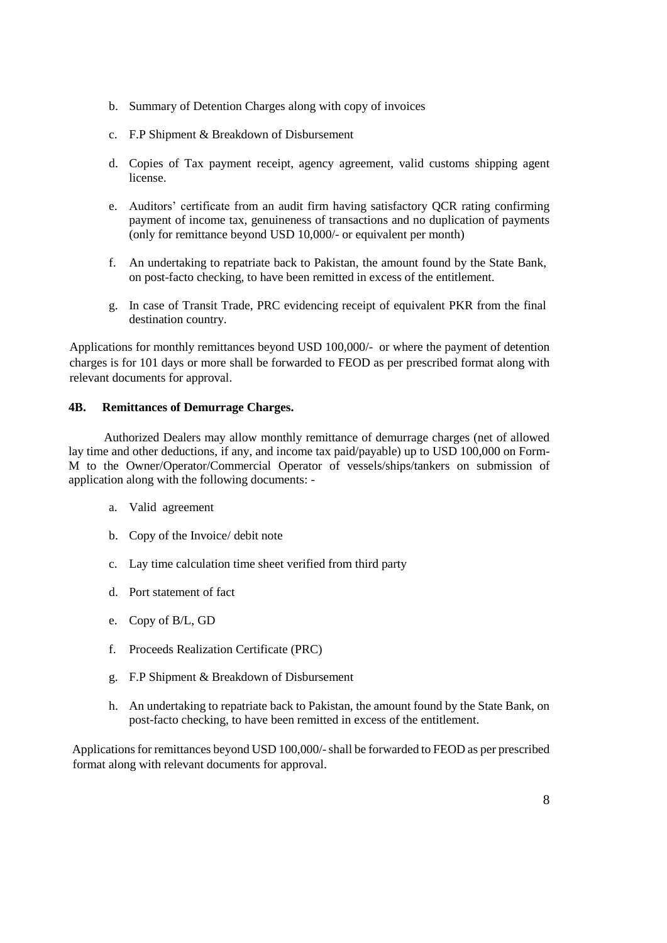- b. Summary of Detention Charges along with copy of invoices
- c. F.P Shipment & Breakdown of Disbursement
- d. Copies of Tax payment receipt, agency agreement, valid customs shipping agent license.
- e. Auditors' certificate from an audit firm having satisfactory QCR rating confirming payment of income tax, genuineness of transactions and no duplication of payments (only for remittance beyond USD 10,000/- or equivalent per month)
- f. An undertaking to repatriate back to Pakistan, the amount found by the State Bank, on post-facto checking, to have been remitted in excess of the entitlement.
- g. In case of Transit Trade, PRC evidencing receipt of equivalent PKR from the final destination country.

Applications for monthly remittances beyond USD 100,000/- or where the payment of detention charges is for 101 days or more shall be forwarded to FEOD as per prescribed format along with relevant documents for approval.

### **4B. Remittances of Demurrage Charges.**

Authorized Dealers may allow monthly remittance of demurrage charges (net of allowed lay time and other deductions, if any, and income tax paid/payable) up to USD 100,000 on Form-M to the Owner/Operator/Commercial Operator of vessels/ships/tankers on submission of application along with the following documents: -

- a. Valid agreement
- b. Copy of the Invoice/ debit note
- c. Lay time calculation time sheet verified from third party
- d. Port statement of fact
- e. Copy of B/L, GD
- f. Proceeds Realization Certificate (PRC)
- g. F.P Shipment & Breakdown of Disbursement
- h. An undertaking to repatriate back to Pakistan, the amount found by the State Bank, on post-facto checking, to have been remitted in excess of the entitlement.

Applications for remittances beyond USD 100,000/-shall be forwarded to FEOD as per prescribed format along with relevant documents for approval.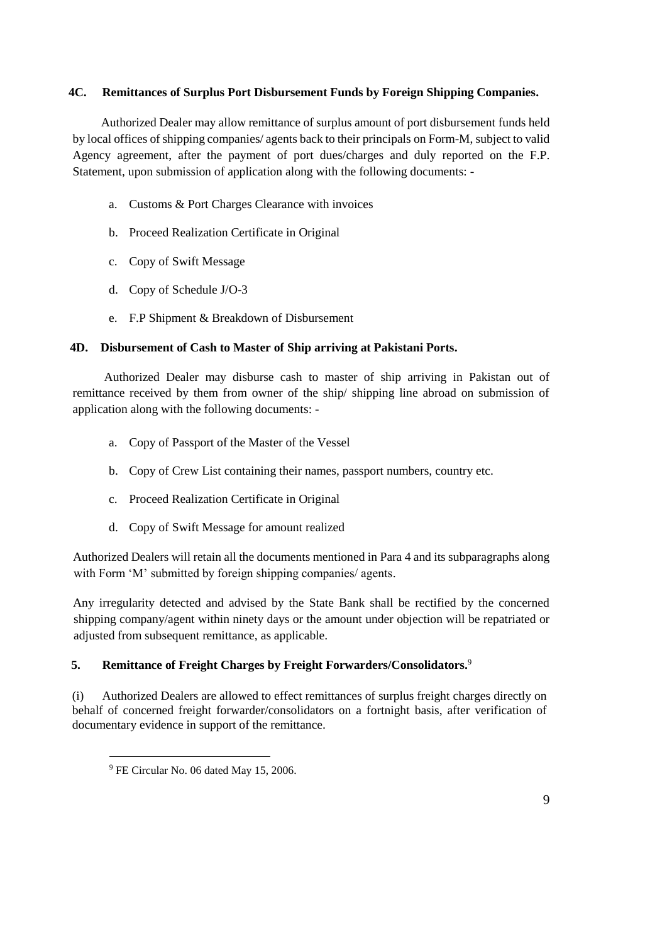### **4C. Remittances of Surplus Port Disbursement Funds by Foreign Shipping Companies.**

 Authorized Dealer may allow remittance of surplus amount of port disbursement funds held by local offices of shipping companies/ agents back to their principals on Form-M, subject to valid Agency agreement, after the payment of port dues/charges and duly reported on the F.P. Statement, upon submission of application along with the following documents: -

- a. Customs & Port Charges Clearance with invoices
- b. Proceed Realization Certificate in Original
- c. Copy of Swift Message
- d. Copy of Schedule J/O-3
- e. F.P Shipment & Breakdown of Disbursement

### **4D. Disbursement of Cash to Master of Ship arriving at Pakistani Ports.**

 Authorized Dealer may disburse cash to master of ship arriving in Pakistan out of remittance received by them from owner of the ship/ shipping line abroad on submission of application along with the following documents: -

- a. Copy of Passport of the Master of the Vessel
- b. Copy of Crew List containing their names, passport numbers, country etc.
- c. Proceed Realization Certificate in Original
- d. Copy of Swift Message for amount realized

Authorized Dealers will retain all the documents mentioned in Para 4 and its subparagraphs along with Form 'M' submitted by foreign shipping companies/ agents.

Any irregularity detected and advised by the State Bank shall be rectified by the concerned shipping company/agent within ninety days or the amount under objection will be repatriated or adjusted from subsequent remittance, as applicable.

## **5. Remittance of Freight Charges by Freight Forwarders/Consolidators.**<sup>9</sup>

(i) Authorized Dealers are allowed to effect remittances of surplus freight charges directly on behalf of concerned freight forwarder/consolidators on a fortnight basis, after verification of documentary evidence in support of the remittance.

 $\overline{a}$ 

<sup>9</sup> FE Circular No. 06 dated May 15, 2006.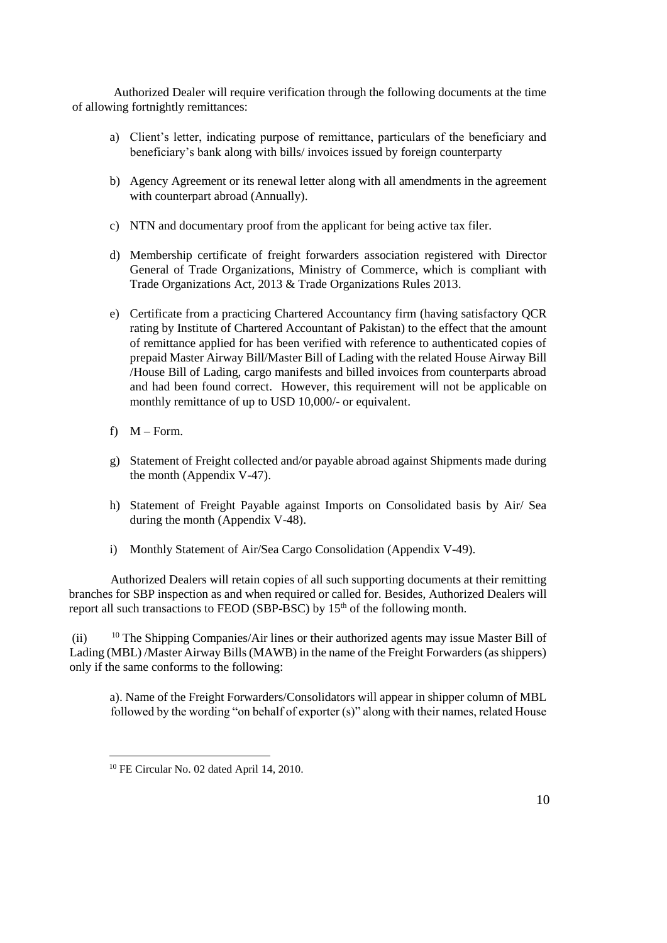Authorized Dealer will require verification through the following documents at the time of allowing fortnightly remittances:

- a) Client's letter, indicating purpose of remittance, particulars of the beneficiary and beneficiary's bank along with bills/ invoices issued by foreign counterparty
- b) Agency Agreement or its renewal letter along with all amendments in the agreement with counterpart abroad (Annually).
- c) NTN and documentary proof from the applicant for being active tax filer.
- d) Membership certificate of freight forwarders association registered with Director General of Trade Organizations, Ministry of Commerce, which is compliant with Trade Organizations Act, 2013 & Trade Organizations Rules 2013.
- e) Certificate from a practicing Chartered Accountancy firm (having satisfactory QCR rating by Institute of Chartered Accountant of Pakistan) to the effect that the amount of remittance applied for has been verified with reference to authenticated copies of prepaid Master Airway Bill/Master Bill of Lading with the related House Airway Bill /House Bill of Lading, cargo manifests and billed invoices from counterparts abroad and had been found correct. However, this requirement will not be applicable on monthly remittance of up to USD 10,000/- or equivalent.
- f)  $M Form$ .
- g) Statement of Freight collected and/or payable abroad against Shipments made during the month (Appendix V-47).
- h) Statement of Freight Payable against Imports on Consolidated basis by Air/ Sea during the month (Appendix V-48).
- i) Monthly Statement of Air/Sea Cargo Consolidation (Appendix V-49).

Authorized Dealers will retain copies of all such supporting documents at their remitting branches for SBP inspection as and when required or called for. Besides, Authorized Dealers will report all such transactions to FEOD (SBP-BSC) by  $15<sup>th</sup>$  of the following month.

(ii) <sup>10</sup> The Shipping Companies/Air lines or their authorized agents may issue Master Bill of Lading (MBL) /Master Airway Bills (MAWB) in the name of the Freight Forwarders (as shippers) only if the same conforms to the following:

a). Name of the Freight Forwarders/Consolidators will appear in shipper column of MBL followed by the wording "on behalf of exporter (s)" along with their names, related House

 $\overline{a}$ <sup>10</sup> FE Circular No. 02 dated April 14, 2010.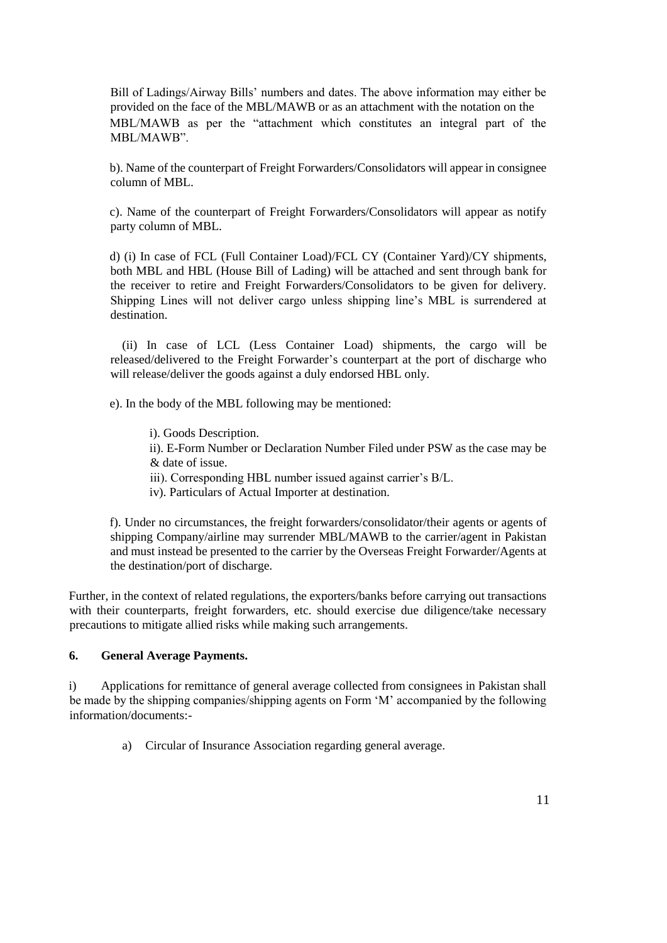Bill of Ladings/Airway Bills' numbers and dates. The above information may either be provided on the face of the MBL/MAWB or as an attachment with the notation on the MBL/MAWB as per the "attachment which constitutes an integral part of the MBL/MAWB".

b). Name of the counterpart of Freight Forwarders/Consolidators will appear in consignee column of MBL.

c). Name of the counterpart of Freight Forwarders/Consolidators will appear as notify party column of MBL.

d) (i) In case of FCL (Full Container Load)/FCL CY (Container Yard)/CY shipments, both MBL and HBL (House Bill of Lading) will be attached and sent through bank for the receiver to retire and Freight Forwarders/Consolidators to be given for delivery. Shipping Lines will not deliver cargo unless shipping line's MBL is surrendered at destination.

 (ii) In case of LCL (Less Container Load) shipments, the cargo will be released/delivered to the Freight Forwarder's counterpart at the port of discharge who will release/deliver the goods against a duly endorsed HBL only.

e). In the body of the MBL following may be mentioned:

i). Goods Description. ii). E-Form Number or Declaration Number Filed under PSW as the case may be & date of issue.

iii). Corresponding HBL number issued against carrier's B/L.

iv). Particulars of Actual Importer at destination.

f). Under no circumstances, the freight forwarders/consolidator/their agents or agents of shipping Company/airline may surrender MBL/MAWB to the carrier/agent in Pakistan and must instead be presented to the carrier by the Overseas Freight Forwarder/Agents at the destination/port of discharge.

Further, in the context of related regulations, the exporters/banks before carrying out transactions with their counterparts, freight forwarders, etc. should exercise due diligence/take necessary precautions to mitigate allied risks while making such arrangements.

### **6. General Average Payments.**

i) Applications for remittance of general average collected from consignees in Pakistan shall be made by the shipping companies/shipping agents on Form 'M' accompanied by the following information/documents:-

a) Circular of Insurance Association regarding general average.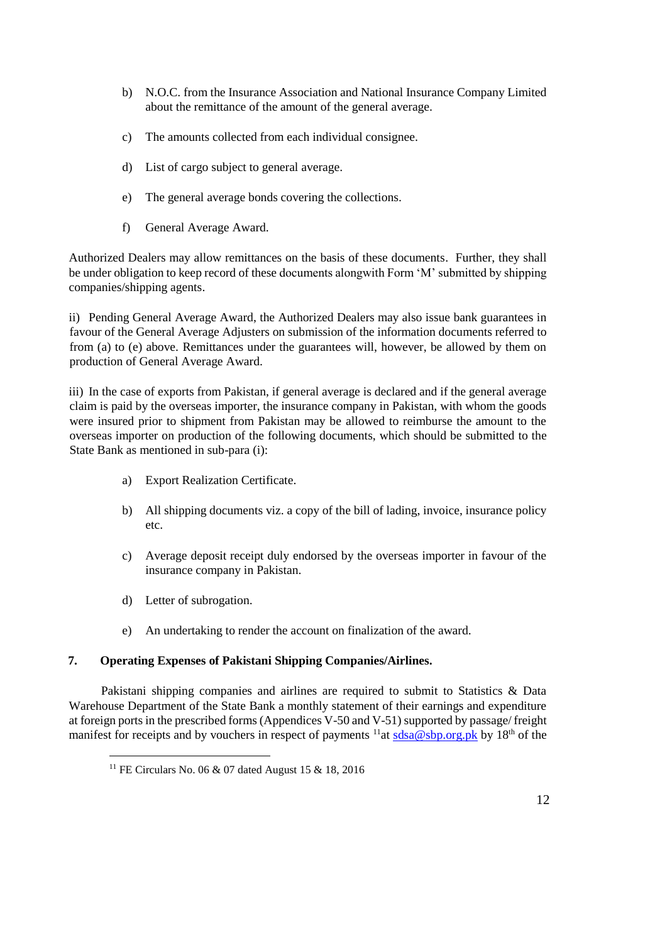- b) N.O.C. from the Insurance Association and National Insurance Company Limited about the remittance of the amount of the general average.
- c) The amounts collected from each individual consignee.
- d) List of cargo subject to general average.
- e) The general average bonds covering the collections.
- f) General Average Award.

Authorized Dealers may allow remittances on the basis of these documents. Further, they shall be under obligation to keep record of these documents alongwith Form 'M' submitted by shipping companies/shipping agents.

ii) Pending General Average Award, the Authorized Dealers may also issue bank guarantees in favour of the General Average Adjusters on submission of the information documents referred to from (a) to (e) above. Remittances under the guarantees will, however, be allowed by them on production of General Average Award.

iii) In the case of exports from Pakistan, if general average is declared and if the general average claim is paid by the overseas importer, the insurance company in Pakistan, with whom the goods were insured prior to shipment from Pakistan may be allowed to reimburse the amount to the overseas importer on production of the following documents, which should be submitted to the State Bank as mentioned in sub-para (i):

- a) Export Realization Certificate.
- b) All shipping documents viz. a copy of the bill of lading, invoice, insurance policy etc.
- c) Average deposit receipt duly endorsed by the overseas importer in favour of the insurance company in Pakistan.
- d) Letter of subrogation.

 $\overline{a}$ 

e) An undertaking to render the account on finalization of the award.

### **7. Operating Expenses of Pakistani Shipping Companies/Airlines.**

 Pakistani shipping companies and airlines are required to submit to Statistics & Data Warehouse Department of the State Bank a monthly statement of their earnings and expenditure at foreign ports in the prescribed forms (Appendices V-50 and V-51) supported by passage/ freight manifest for receipts and by vouchers in respect of payments  $\frac{11}{\text{at sdsa}\omega \text{sbp.org}$ , pk by 18<sup>th</sup> of the

<sup>11</sup> FE Circulars No. 06 & 07 dated August 15 & 18, 2016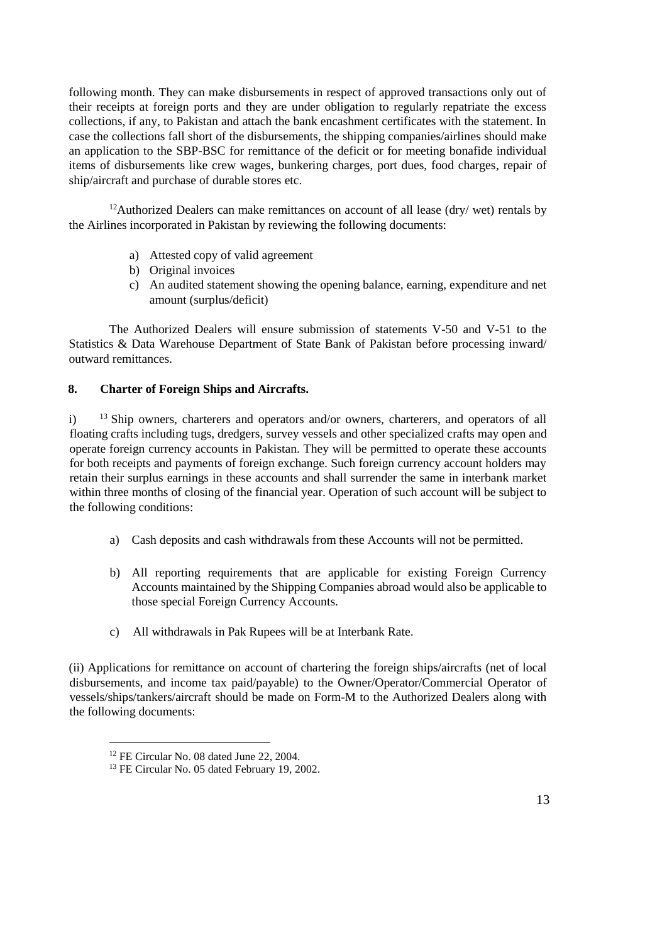following month. They can make disbursements in respect of approved transactions only out of their receipts at foreign ports and they are under obligation to regularly repatriate the excess collections, if any, to Pakistan and attach the bank encashment certificates with the statement. In case the collections fall short of the disbursements, the shipping companies/airlines should make an application to the SBP-BSC for remittance of the deficit or for meeting bonafide individual items of disbursements like crew wages, bunkering charges, port dues, food charges, repair of ship/aircraft and purchase of durable stores etc.

<sup>12</sup>Authorized Dealers can make remittances on account of all lease (dry/ wet) rentals by the Airlines incorporated in Pakistan by reviewing the following documents:

- a) Attested copy of valid agreement
- b) Original invoices
- c) An audited statement showing the opening balance, earning, expenditure and net amount (surplus/deficit)

The Authorized Dealers will ensure submission of statements V-50 and V-51 to the Statistics & Data Warehouse Department of State Bank of Pakistan before processing inward/ outward remittances.

### **8. Charter of Foreign Ships and Aircrafts.**

i) <sup>13</sup> Ship owners, charterers and operators and/or owners, charterers, and operators of all floating crafts including tugs, dredgers, survey vessels and other specialized crafts may open and operate foreign currency accounts in Pakistan. They will be permitted to operate these accounts for both receipts and payments of foreign exchange. Such foreign currency account holders may retain their surplus earnings in these accounts and shall surrender the same in interbank market within three months of closing of the financial year. Operation of such account will be subject to the following conditions:

- a) Cash deposits and cash withdrawals from these Accounts will not be permitted.
- b) All reporting requirements that are applicable for existing Foreign Currency Accounts maintained by the Shipping Companies abroad would also be applicable to those special Foreign Currency Accounts.
- c) All withdrawals in Pak Rupees will be at Interbank Rate.

(ii) Applications for remittance on account of chartering the foreign ships/aircrafts (net of local disbursements, and income tax paid/payable) to the Owner/Operator/Commercial Operator of vessels/ships/tankers/aircraft should be made on Form-M to the Authorized Dealers along with the following documents:

l

<sup>&</sup>lt;sup>12</sup> FE Circular No. 08 dated June 22, 2004.

<sup>&</sup>lt;sup>13</sup> FE Circular No. 05 dated February 19, 2002.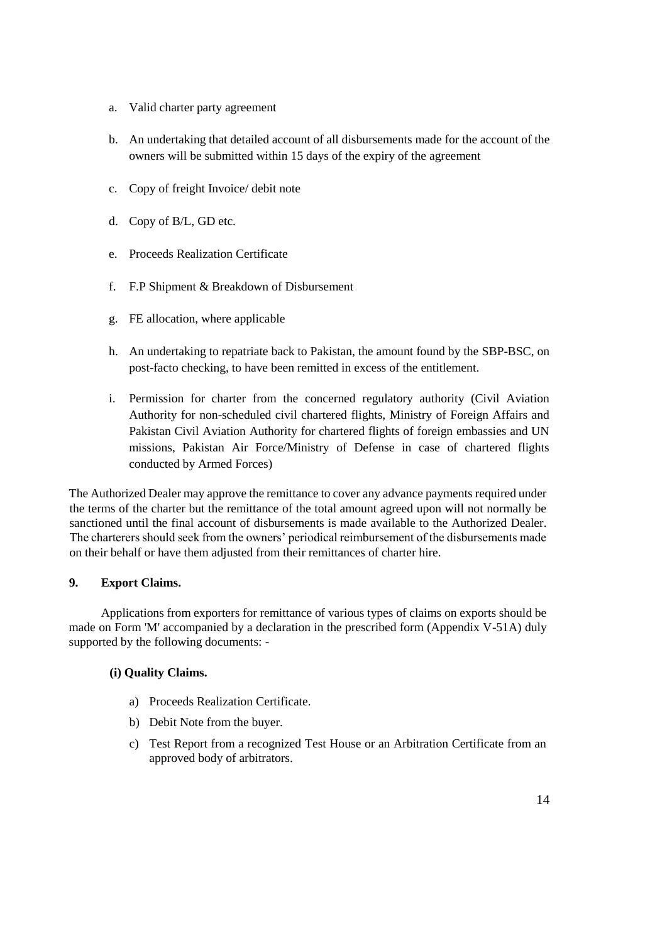- a. Valid charter party agreement
- b. An undertaking that detailed account of all disbursements made for the account of the owners will be submitted within 15 days of the expiry of the agreement
- c. Copy of freight Invoice/ debit note
- d. Copy of B/L, GD etc.
- e. Proceeds Realization Certificate
- f. F.P Shipment & Breakdown of Disbursement
- g. FE allocation, where applicable
- h. An undertaking to repatriate back to Pakistan, the amount found by the SBP-BSC, on post-facto checking, to have been remitted in excess of the entitlement.
- i. Permission for charter from the concerned regulatory authority (Civil Aviation Authority for non-scheduled civil chartered flights, Ministry of Foreign Affairs and Pakistan Civil Aviation Authority for chartered flights of foreign embassies and UN missions, Pakistan Air Force/Ministry of Defense in case of chartered flights conducted by Armed Forces)

The Authorized Dealer may approve the remittance to cover any advance payments required under the terms of the charter but the remittance of the total amount agreed upon will not normally be sanctioned until the final account of disbursements is made available to the Authorized Dealer. The charterers should seek from the owners' periodical reimbursement of the disbursements made on their behalf or have them adjusted from their remittances of charter hire.

### **9. Export Claims.**

 Applications from exporters for remittance of various types of claims on exports should be made on Form 'M' accompanied by a declaration in the prescribed form (Appendix V-51A) duly supported by the following documents: -

### **(i) Quality Claims.**

- a) Proceeds Realization Certificate.
- b) Debit Note from the buyer.
- c) Test Report from a recognized Test House or an Arbitration Certificate from an approved body of arbitrators.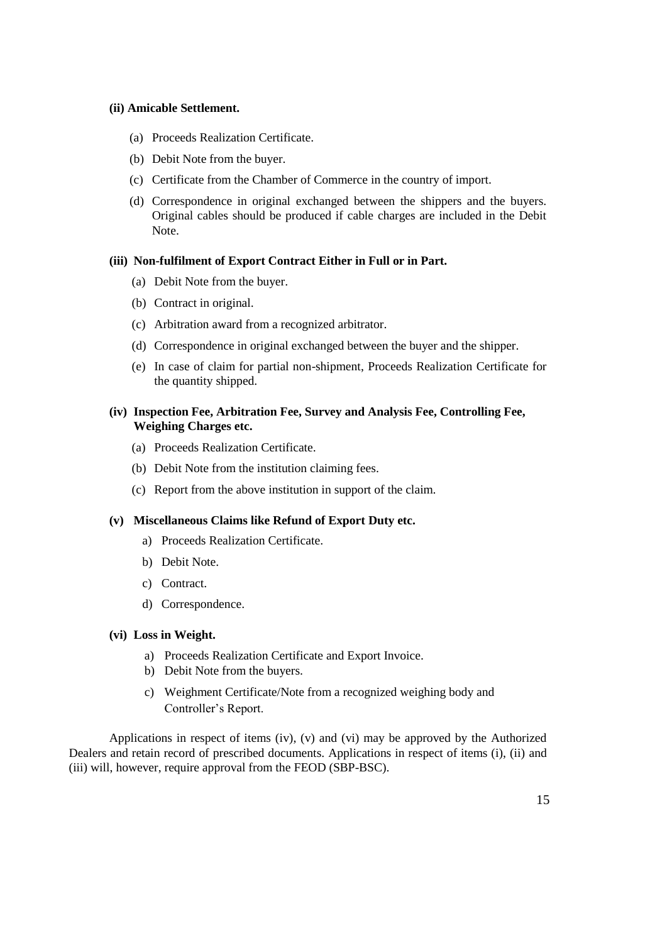## **(ii) Amicable Settlement.**

- (a) Proceeds Realization Certificate.
- (b) Debit Note from the buyer.
- (c) Certificate from the Chamber of Commerce in the country of import.
- (d) Correspondence in original exchanged between the shippers and the buyers. Original cables should be produced if cable charges are included in the Debit Note.

#### **(iii) Non-fulfilment of Export Contract Either in Full or in Part.**

- (a) Debit Note from the buyer.
- (b) Contract in original.
- (c) Arbitration award from a recognized arbitrator.
- (d) Correspondence in original exchanged between the buyer and the shipper.
- (e) In case of claim for partial non-shipment, Proceeds Realization Certificate for the quantity shipped.

### **(iv) Inspection Fee, Arbitration Fee, Survey and Analysis Fee, Controlling Fee, Weighing Charges etc.**

- (a) Proceeds Realization Certificate.
- (b) Debit Note from the institution claiming fees.
- (c) Report from the above institution in support of the claim.

### **(v) Miscellaneous Claims like Refund of Export Duty etc.**

- a) Proceeds Realization Certificate.
- b) Debit Note.
- c) Contract.
- d) Correspondence.

#### **(vi) Loss in Weight.**

- a) Proceeds Realization Certificate and Export Invoice.
- b) Debit Note from the buyers.
- c) Weighment Certificate/Note from a recognized weighing body and Controller's Report.

Applications in respect of items (iv), (v) and (vi) may be approved by the Authorized Dealers and retain record of prescribed documents. Applications in respect of items (i), (ii) and (iii) will, however, require approval from the FEOD (SBP-BSC).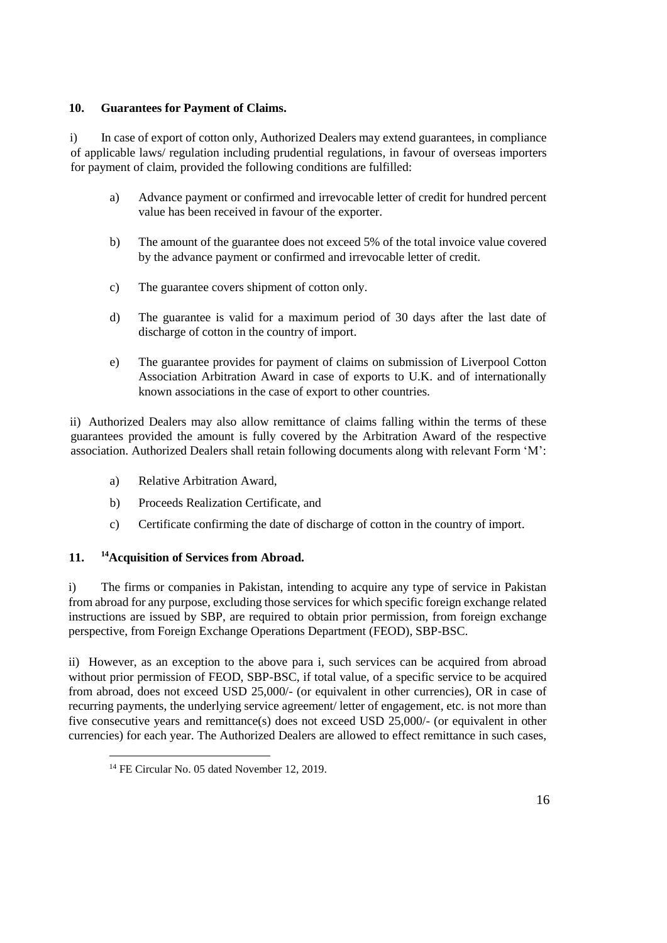## **10. Guarantees for Payment of Claims.**

i) In case of export of cotton only, Authorized Dealers may extend guarantees, in compliance of applicable laws/ regulation including prudential regulations, in favour of overseas importers for payment of claim, provided the following conditions are fulfilled:

- a) Advance payment or confirmed and irrevocable letter of credit for hundred percent value has been received in favour of the exporter.
- b) The amount of the guarantee does not exceed 5% of the total invoice value covered by the advance payment or confirmed and irrevocable letter of credit.
- c) The guarantee covers shipment of cotton only.
- d) The guarantee is valid for a maximum period of 30 days after the last date of discharge of cotton in the country of import.
- e) The guarantee provides for payment of claims on submission of Liverpool Cotton Association Arbitration Award in case of exports to U.K. and of internationally known associations in the case of export to other countries.

ii) Authorized Dealers may also allow remittance of claims falling within the terms of these guarantees provided the amount is fully covered by the Arbitration Award of the respective association. Authorized Dealers shall retain following documents along with relevant Form 'M':

- a) Relative Arbitration Award,
- b) Proceeds Realization Certificate, and
- c) Certificate confirming the date of discharge of cotton in the country of import.

# **11. <sup>14</sup>Acquisition of Services from Abroad.**

i) The firms or companies in Pakistan, intending to acquire any type of service in Pakistan from abroad for any purpose, excluding those services for which specific foreign exchange related instructions are issued by SBP, are required to obtain prior permission, from foreign exchange perspective, from Foreign Exchange Operations Department (FEOD), SBP-BSC.

ii) However, as an exception to the above para i, such services can be acquired from abroad without prior permission of FEOD, SBP-BSC, if total value, of a specific service to be acquired from abroad, does not exceed USD 25,000/- (or equivalent in other currencies), OR in case of recurring payments, the underlying service agreement/ letter of engagement, etc. is not more than five consecutive years and remittance(s) does not exceed USD 25,000/- (or equivalent in other currencies) for each year. The Authorized Dealers are allowed to effect remittance in such cases,

 $\overline{a}$ 

<sup>&</sup>lt;sup>14</sup> FE Circular No. 05 dated November 12, 2019.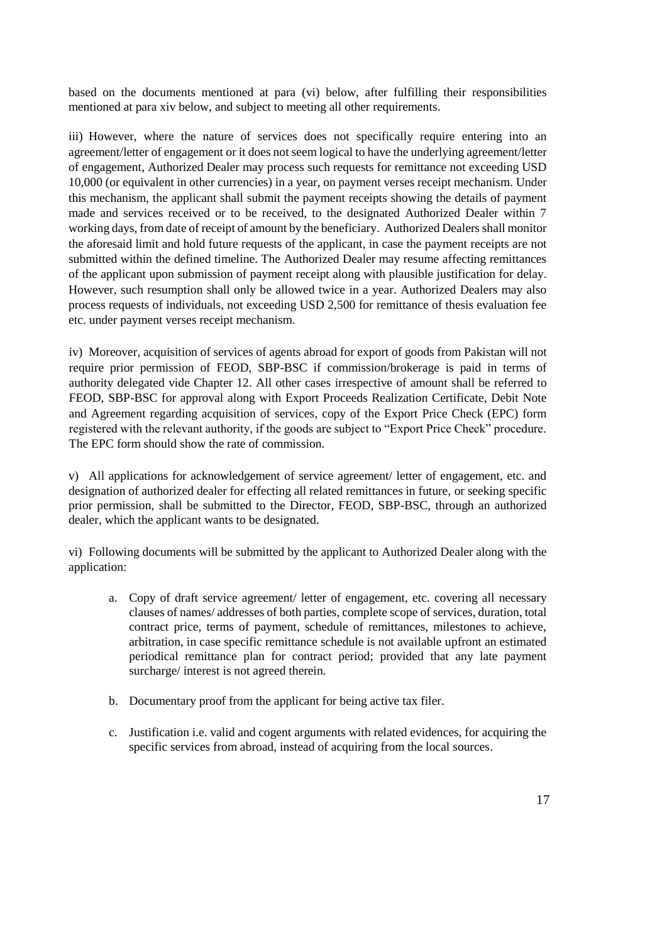based on the documents mentioned at para (vi) below, after fulfilling their responsibilities mentioned at para xiv below, and subject to meeting all other requirements.

iii) However, where the nature of services does not specifically require entering into an agreement/letter of engagement or it does not seem logical to have the underlying agreement/letter of engagement, Authorized Dealer may process such requests for remittance not exceeding USD 10,000 (or equivalent in other currencies) in a year, on payment verses receipt mechanism. Under this mechanism, the applicant shall submit the payment receipts showing the details of payment made and services received or to be received, to the designated Authorized Dealer within 7 working days, from date of receipt of amount by the beneficiary. Authorized Dealers shall monitor the aforesaid limit and hold future requests of the applicant, in case the payment receipts are not submitted within the defined timeline. The Authorized Dealer may resume affecting remittances of the applicant upon submission of payment receipt along with plausible justification for delay. However, such resumption shall only be allowed twice in a year. Authorized Dealers may also process requests of individuals, not exceeding USD 2,500 for remittance of thesis evaluation fee etc. under payment verses receipt mechanism.

iv) Moreover, acquisition of services of agents abroad for export of goods from Pakistan will not require prior permission of FEOD, SBP-BSC if commission/brokerage is paid in terms of authority delegated vide Chapter 12. All other cases irrespective of amount shall be referred to FEOD, SBP-BSC for approval along with Export Proceeds Realization Certificate, Debit Note and Agreement regarding acquisition of services, copy of the Export Price Check (EPC) form registered with the relevant authority, if the goods are subject to "Export Price Check" procedure. The EPC form should show the rate of commission.

v) All applications for acknowledgement of service agreement/ letter of engagement, etc. and designation of authorized dealer for effecting all related remittances in future, or seeking specific prior permission, shall be submitted to the Director, FEOD, SBP-BSC, through an authorized dealer, which the applicant wants to be designated.

vi) Following documents will be submitted by the applicant to Authorized Dealer along with the application:

- a. Copy of draft service agreement/ letter of engagement, etc. covering all necessary clauses of names/ addresses of both parties, complete scope of services, duration, total contract price, terms of payment, schedule of remittances, milestones to achieve, arbitration, in case specific remittance schedule is not available upfront an estimated periodical remittance plan for contract period; provided that any late payment surcharge/ interest is not agreed therein.
- b. Documentary proof from the applicant for being active tax filer.
- c. Justification i.e. valid and cogent arguments with related evidences, for acquiring the specific services from abroad, instead of acquiring from the local sources.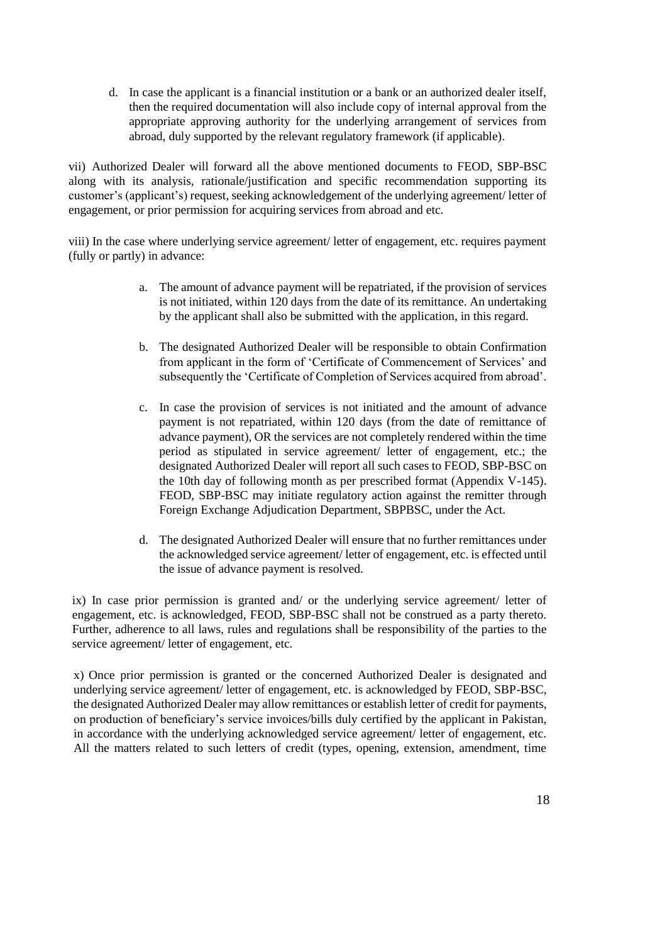d. In case the applicant is a financial institution or a bank or an authorized dealer itself, then the required documentation will also include copy of internal approval from the appropriate approving authority for the underlying arrangement of services from abroad, duly supported by the relevant regulatory framework (if applicable).

vii) Authorized Dealer will forward all the above mentioned documents to FEOD, SBP-BSC along with its analysis, rationale/justification and specific recommendation supporting its customer's (applicant's) request, seeking acknowledgement of the underlying agreement/ letter of engagement, or prior permission for acquiring services from abroad and etc.

viii) In the case where underlying service agreement/ letter of engagement, etc. requires payment (fully or partly) in advance:

- a. The amount of advance payment will be repatriated, if the provision of services is not initiated, within 120 days from the date of its remittance. An undertaking by the applicant shall also be submitted with the application, in this regard.
- b. The designated Authorized Dealer will be responsible to obtain Confirmation from applicant in the form of 'Certificate of Commencement of Services' and subsequently the 'Certificate of Completion of Services acquired from abroad'.
- c. In case the provision of services is not initiated and the amount of advance payment is not repatriated, within 120 days (from the date of remittance of advance payment), OR the services are not completely rendered within the time period as stipulated in service agreement/ letter of engagement, etc.; the designated Authorized Dealer will report all such cases to FEOD, SBP-BSC on the 10th day of following month as per prescribed format (Appendix V-145). FEOD, SBP-BSC may initiate regulatory action against the remitter through Foreign Exchange Adjudication Department, SBPBSC, under the Act.
- d. The designated Authorized Dealer will ensure that no further remittances under the acknowledged service agreement/ letter of engagement, etc. is effected until the issue of advance payment is resolved.

ix) In case prior permission is granted and/ or the underlying service agreement/ letter of engagement, etc. is acknowledged, FEOD, SBP-BSC shall not be construed as a party thereto. Further, adherence to all laws, rules and regulations shall be responsibility of the parties to the service agreement/ letter of engagement, etc.

x) Once prior permission is granted or the concerned Authorized Dealer is designated and underlying service agreement/ letter of engagement, etc. is acknowledged by FEOD, SBP-BSC, the designated Authorized Dealer may allow remittances or establish letter of credit for payments, on production of beneficiary's service invoices/bills duly certified by the applicant in Pakistan, in accordance with the underlying acknowledged service agreement/ letter of engagement, etc. All the matters related to such letters of credit (types, opening, extension, amendment, time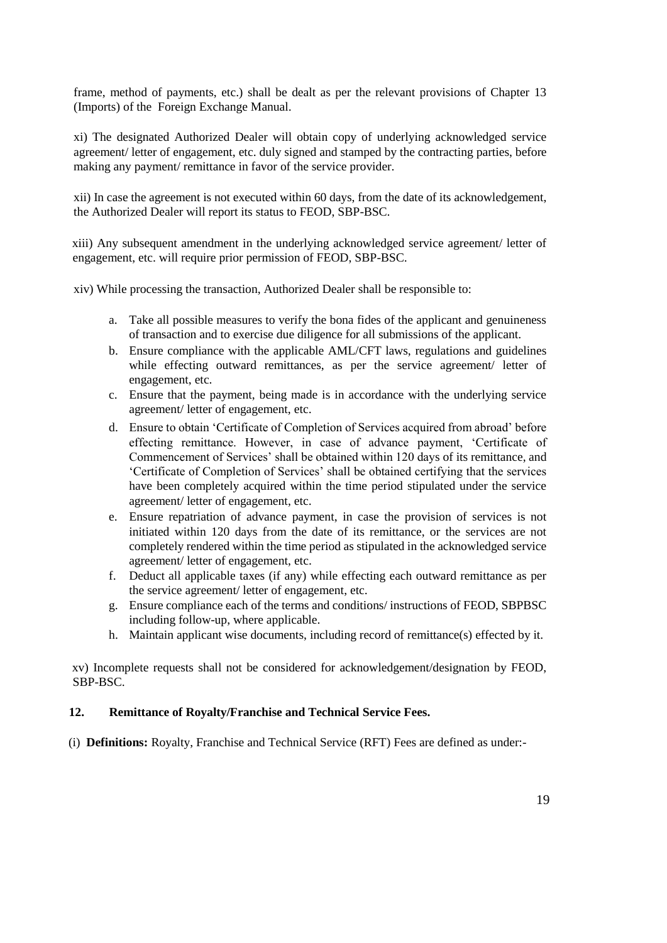frame, method of payments, etc.) shall be dealt as per the relevant provisions of Chapter 13 (Imports) of the Foreign Exchange Manual.

xi) The designated Authorized Dealer will obtain copy of underlying acknowledged service agreement/ letter of engagement, etc. duly signed and stamped by the contracting parties, before making any payment/ remittance in favor of the service provider.

xii) In case the agreement is not executed within 60 days, from the date of its acknowledgement, the Authorized Dealer will report its status to FEOD, SBP-BSC.

xiii) Any subsequent amendment in the underlying acknowledged service agreement/ letter of engagement, etc. will require prior permission of FEOD, SBP-BSC.

xiv) While processing the transaction, Authorized Dealer shall be responsible to:

- a. Take all possible measures to verify the bona fides of the applicant and genuineness of transaction and to exercise due diligence for all submissions of the applicant.
- b. Ensure compliance with the applicable AML/CFT laws, regulations and guidelines while effecting outward remittances, as per the service agreement/ letter of engagement, etc.
- c. Ensure that the payment, being made is in accordance with the underlying service agreement/ letter of engagement, etc.
- d. Ensure to obtain 'Certificate of Completion of Services acquired from abroad' before effecting remittance. However, in case of advance payment, 'Certificate of Commencement of Services' shall be obtained within 120 days of its remittance, and 'Certificate of Completion of Services' shall be obtained certifying that the services have been completely acquired within the time period stipulated under the service agreement/ letter of engagement, etc.
- e. Ensure repatriation of advance payment, in case the provision of services is not initiated within 120 days from the date of its remittance, or the services are not completely rendered within the time period as stipulated in the acknowledged service agreement/ letter of engagement, etc.
- f. Deduct all applicable taxes (if any) while effecting each outward remittance as per the service agreement/ letter of engagement, etc.
- g. Ensure compliance each of the terms and conditions/ instructions of FEOD, SBPBSC including follow-up, where applicable.
- h. Maintain applicant wise documents, including record of remittance(s) effected by it.

xv) Incomplete requests shall not be considered for acknowledgement/designation by FEOD, SBP-BSC.

### **12. Remittance of Royalty/Franchise and Technical Service Fees.**

(i) **Definitions:** Royalty, Franchise and Technical Service (RFT) Fees are defined as under:-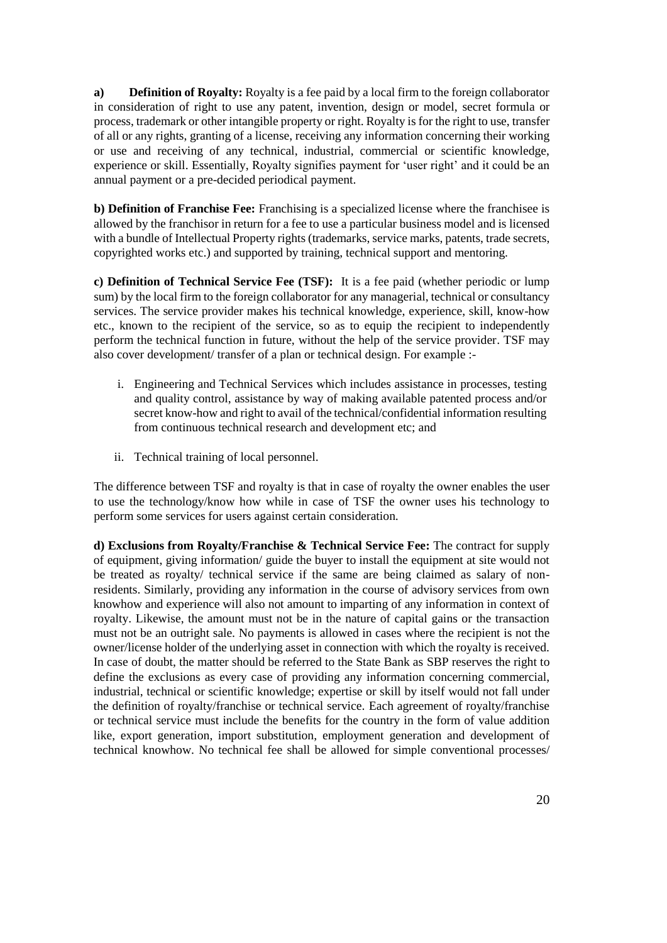**a) Definition of Royalty:** Royalty is a fee paid by a local firm to the foreign collaborator in consideration of right to use any patent, invention, design or model, secret formula or process, trademark or other intangible property or right. Royalty is for the right to use, transfer of all or any rights, granting of a license, receiving any information concerning their working or use and receiving of any technical, industrial, commercial or scientific knowledge, experience or skill. Essentially, Royalty signifies payment for 'user right' and it could be an annual payment or a pre-decided periodical payment.

**b) Definition of Franchise Fee:** Franchising is a specialized license where the franchisee is allowed by the franchisor in return for a fee to use a particular business model and is licensed with a bundle of Intellectual Property rights (trademarks, service marks, patents, trade secrets, copyrighted works etc.) and supported by training, technical support and mentoring.

**c) Definition of Technical Service Fee (TSF):** It is a fee paid (whether periodic or lump sum) by the local firm to the foreign collaborator for any managerial, technical or consultancy services. The service provider makes his technical knowledge, experience, skill, know-how etc., known to the recipient of the service, so as to equip the recipient to independently perform the technical function in future, without the help of the service provider. TSF may also cover development/ transfer of a plan or technical design. For example :-

- i. Engineering and Technical Services which includes assistance in processes, testing and quality control, assistance by way of making available patented process and/or secret know-how and right to avail of the technical/confidential information resulting from continuous technical research and development etc; and
- ii. Technical training of local personnel.

The difference between TSF and royalty is that in case of royalty the owner enables the user to use the technology/know how while in case of TSF the owner uses his technology to perform some services for users against certain consideration.

**d) Exclusions from Royalty/Franchise & Technical Service Fee:** The contract for supply of equipment, giving information/ guide the buyer to install the equipment at site would not be treated as royalty/ technical service if the same are being claimed as salary of nonresidents. Similarly, providing any information in the course of advisory services from own knowhow and experience will also not amount to imparting of any information in context of royalty. Likewise, the amount must not be in the nature of capital gains or the transaction must not be an outright sale. No payments is allowed in cases where the recipient is not the owner/license holder of the underlying asset in connection with which the royalty is received. In case of doubt, the matter should be referred to the State Bank as SBP reserves the right to define the exclusions as every case of providing any information concerning commercial, industrial, technical or scientific knowledge; expertise or skill by itself would not fall under the definition of royalty/franchise or technical service. Each agreement of royalty/franchise or technical service must include the benefits for the country in the form of value addition like, export generation, import substitution, employment generation and development of technical knowhow. No technical fee shall be allowed for simple conventional processes/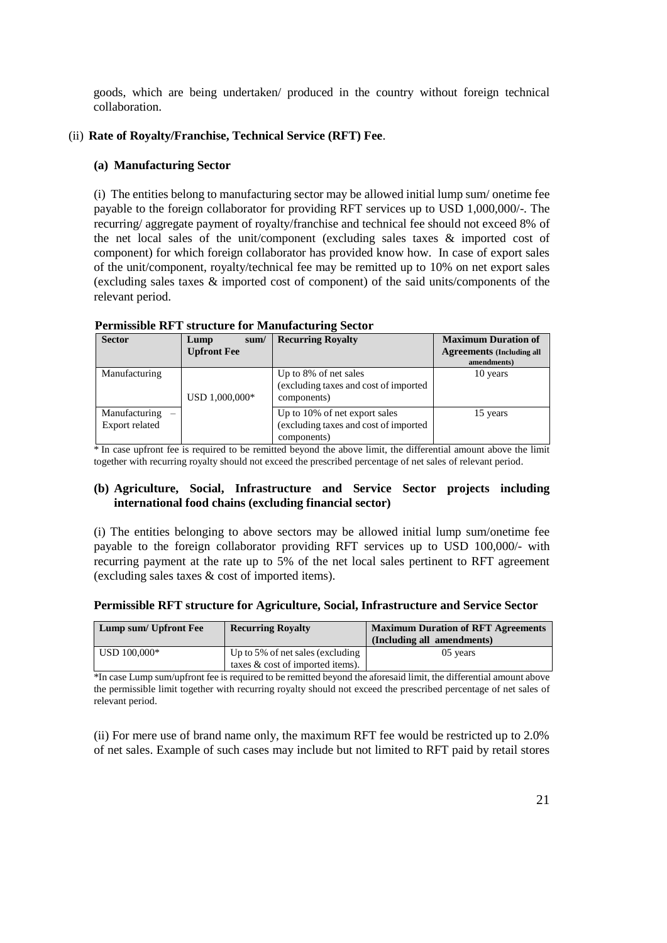goods, which are being undertaken/ produced in the country without foreign technical collaboration.

## (ii) **Rate of Royalty/Franchise, Technical Service (RFT) Fee**.

### **(a) Manufacturing Sector**

(i) The entities belong to manufacturing sector may be allowed initial lump sum/ onetime fee payable to the foreign collaborator for providing RFT services up to USD 1,000,000/-. The recurring/ aggregate payment of royalty/franchise and technical fee should not exceed 8% of the net local sales of the unit/component (excluding sales taxes & imported cost of component) for which foreign collaborator has provided know how. In case of export sales of the unit/component, royalty/technical fee may be remitted up to 10% on net export sales (excluding sales taxes & imported cost of component) of the said units/components of the relevant period.

| I CHINSSIDIC IXP 1 SU UCUN CTUL IVIANUIACUN INE DOCTOR |                    |                                                                                       |                                                 |  |  |  |
|--------------------------------------------------------|--------------------|---------------------------------------------------------------------------------------|-------------------------------------------------|--|--|--|
| <b>Sector</b>                                          | Lump<br>sum/       | <b>Recurring Royalty</b>                                                              | <b>Maximum Duration of</b>                      |  |  |  |
|                                                        | <b>Upfront Fee</b> |                                                                                       | <b>Agreements (Including all</b><br>amendments) |  |  |  |
| Manufacturing                                          | USD 1,000,000*     | Up to 8% of net sales<br>(excluding taxes and cost of imported<br>components)         | 10 years                                        |  |  |  |
| $M$ anufacturing $-$<br><b>Export related</b>          |                    | Up to 10% of net export sales<br>(excluding taxes and cost of imported<br>components) | 15 years                                        |  |  |  |

# **Permissible RFT structure for Manufacturing Sector**

\* In case upfront fee is required to be remitted beyond the above limit, the differential amount above the limit together with recurring royalty should not exceed the prescribed percentage of net sales of relevant period.

### **(b) Agriculture, Social, Infrastructure and Service Sector projects including international food chains (excluding financial sector)**

(i) The entities belonging to above sectors may be allowed initial lump sum/onetime fee payable to the foreign collaborator providing RFT services up to USD 100,000/- with recurring payment at the rate up to 5% of the net local sales pertinent to RFT agreement (excluding sales taxes & cost of imported items).

### **Permissible RFT structure for Agriculture, Social, Infrastructure and Service Sector**

| Lump sum/ Upfront Fee       | <b>Recurring Royalty</b>                                                | <b>Maximum Duration of RFT Agreements</b><br>(Including all amendments) |
|-----------------------------|-------------------------------------------------------------------------|-------------------------------------------------------------------------|
| $\overline{ }$ USD 100,000* | Up to 5% of net sales (excluding<br>taxes $\&$ cost of imported items). | 05 years                                                                |

\*In case Lump sum/upfront fee is required to be remitted beyond the aforesaid limit, the differential amount above the permissible limit together with recurring royalty should not exceed the prescribed percentage of net sales of relevant period.

(ii) For mere use of brand name only, the maximum RFT fee would be restricted up to 2.0% of net sales. Example of such cases may include but not limited to RFT paid by retail stores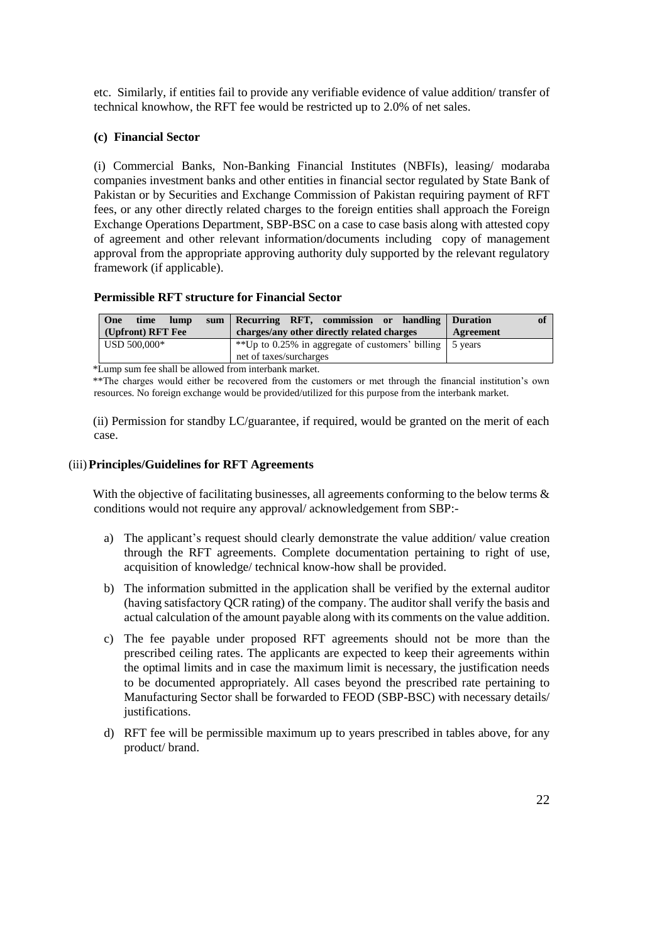etc. Similarly, if entities fail to provide any verifiable evidence of value addition/ transfer of technical knowhow, the RFT fee would be restricted up to 2.0% of net sales.

### **(c) Financial Sector**

(i) Commercial Banks, Non-Banking Financial Institutes (NBFIs), leasing/ modaraba companies investment banks and other entities in financial sector regulated by State Bank of Pakistan or by Securities and Exchange Commission of Pakistan requiring payment of RFT fees, or any other directly related charges to the foreign entities shall approach the Foreign Exchange Operations Department, SBP-BSC on a case to case basis along with attested copy of agreement and other relevant information/documents including copy of management approval from the appropriate approving authority duly supported by the relevant regulatory framework (if applicable).

# **Permissible RFT structure for Financial Sector**

| One<br>lump<br>time<br>(Upfront) RFT Fee | sum Recurring RFT, commission or handling Duration<br>charges/any other directly related charges | of<br>Agreement |
|------------------------------------------|--------------------------------------------------------------------------------------------------|-----------------|
| USD 500,000*                             | **Up to 0.25% in aggregate of customers' billing   5 years<br>net of taxes/surcharges            |                 |

\*Lump sum fee shall be allowed from interbank market.

\*\*The charges would either be recovered from the customers or met through the financial institution's own resources. No foreign exchange would be provided/utilized for this purpose from the interbank market.

(ii) Permission for standby LC/guarantee, if required, would be granted on the merit of each case.

### (iii)**Principles/Guidelines for RFT Agreements**

With the objective of facilitating businesses, all agreements conforming to the below terms  $\&$ conditions would not require any approval/ acknowledgement from SBP:-

- a) The applicant's request should clearly demonstrate the value addition/ value creation through the RFT agreements. Complete documentation pertaining to right of use, acquisition of knowledge/ technical know-how shall be provided.
- b) The information submitted in the application shall be verified by the external auditor (having satisfactory QCR rating) of the company. The auditor shall verify the basis and actual calculation of the amount payable along with its comments on the value addition.
- c) The fee payable under proposed RFT agreements should not be more than the prescribed ceiling rates. The applicants are expected to keep their agreements within the optimal limits and in case the maximum limit is necessary, the justification needs to be documented appropriately. All cases beyond the prescribed rate pertaining to Manufacturing Sector shall be forwarded to FEOD (SBP-BSC) with necessary details/ justifications.
- d) RFT fee will be permissible maximum up to years prescribed in tables above, for any product/ brand.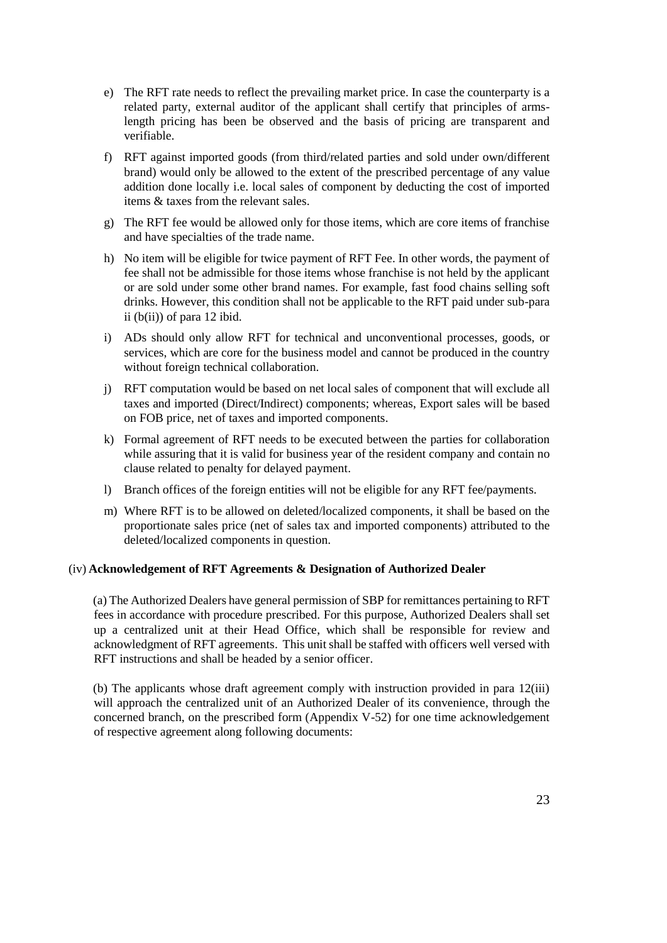- e) The RFT rate needs to reflect the prevailing market price. In case the counterparty is a related party, external auditor of the applicant shall certify that principles of armslength pricing has been be observed and the basis of pricing are transparent and verifiable.
- f) RFT against imported goods (from third/related parties and sold under own/different brand) would only be allowed to the extent of the prescribed percentage of any value addition done locally i.e. local sales of component by deducting the cost of imported items & taxes from the relevant sales.
- g) The RFT fee would be allowed only for those items, which are core items of franchise and have specialties of the trade name.
- h) No item will be eligible for twice payment of RFT Fee. In other words, the payment of fee shall not be admissible for those items whose franchise is not held by the applicant or are sold under some other brand names. For example, fast food chains selling soft drinks. However, this condition shall not be applicable to the RFT paid under sub-para ii  $(b(ii))$  of para 12 ibid.
- i) ADs should only allow RFT for technical and unconventional processes, goods, or services, which are core for the business model and cannot be produced in the country without foreign technical collaboration.
- j) RFT computation would be based on net local sales of component that will exclude all taxes and imported (Direct/Indirect) components; whereas, Export sales will be based on FOB price, net of taxes and imported components.
- k) Formal agreement of RFT needs to be executed between the parties for collaboration while assuring that it is valid for business year of the resident company and contain no clause related to penalty for delayed payment.
- l) Branch offices of the foreign entities will not be eligible for any RFT fee/payments.
- m) Where RFT is to be allowed on deleted/localized components, it shall be based on the proportionate sales price (net of sales tax and imported components) attributed to the deleted/localized components in question.

### (iv) **Acknowledgement of RFT Agreements & Designation of Authorized Dealer**

(a) The Authorized Dealers have general permission of SBP for remittances pertaining to RFT fees in accordance with procedure prescribed. For this purpose, Authorized Dealers shall set up a centralized unit at their Head Office, which shall be responsible for review and acknowledgment of RFT agreements. This unit shall be staffed with officers well versed with RFT instructions and shall be headed by a senior officer.

(b) The applicants whose draft agreement comply with instruction provided in para 12(iii) will approach the centralized unit of an Authorized Dealer of its convenience, through the concerned branch, on the prescribed form (Appendix V-52) for one time acknowledgement of respective agreement along following documents: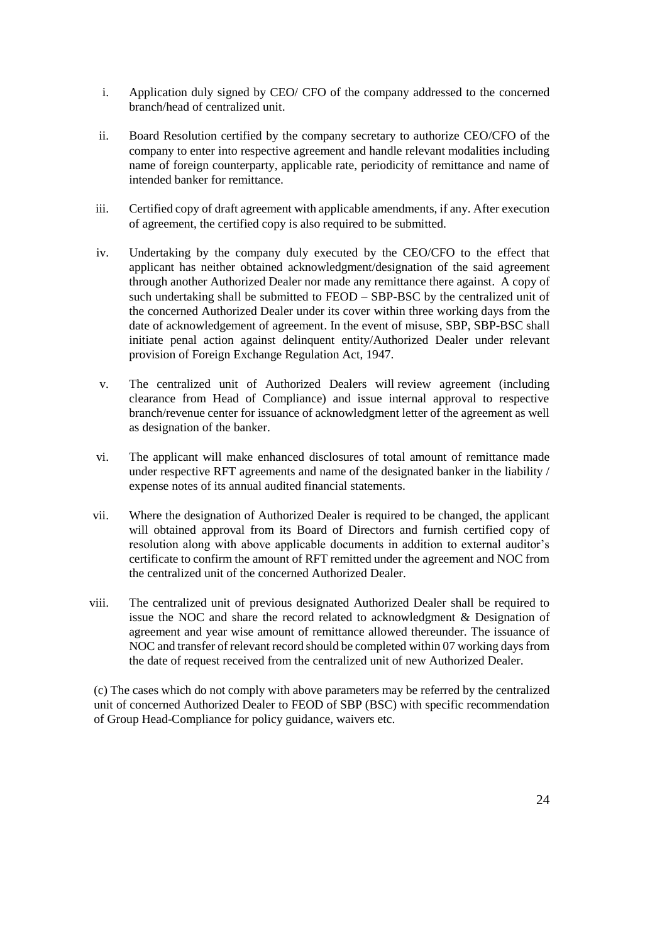- i. Application duly signed by CEO/ CFO of the company addressed to the concerned branch/head of centralized unit.
- ii. Board Resolution certified by the company secretary to authorize CEO/CFO of the company to enter into respective agreement and handle relevant modalities including name of foreign counterparty, applicable rate, periodicity of remittance and name of intended banker for remittance.
- iii. Certified copy of draft agreement with applicable amendments, if any. After execution of agreement, the certified copy is also required to be submitted.
- iv. Undertaking by the company duly executed by the CEO/CFO to the effect that applicant has neither obtained acknowledgment/designation of the said agreement through another Authorized Dealer nor made any remittance there against. A copy of such undertaking shall be submitted to FEOD – SBP-BSC by the centralized unit of the concerned Authorized Dealer under its cover within three working days from the date of acknowledgement of agreement. In the event of misuse, SBP, SBP-BSC shall initiate penal action against delinquent entity/Authorized Dealer under relevant provision of Foreign Exchange Regulation Act, 1947.
- v. The centralized unit of Authorized Dealers will review agreement (including clearance from Head of Compliance) and issue internal approval to respective branch/revenue center for issuance of acknowledgment letter of the agreement as well as designation of the banker.
- vi. The applicant will make enhanced disclosures of total amount of remittance made under respective RFT agreements and name of the designated banker in the liability / expense notes of its annual audited financial statements.
- vii. Where the designation of Authorized Dealer is required to be changed, the applicant will obtained approval from its Board of Directors and furnish certified copy of resolution along with above applicable documents in addition to external auditor's certificate to confirm the amount of RFT remitted under the agreement and NOC from the centralized unit of the concerned Authorized Dealer.
- viii. The centralized unit of previous designated Authorized Dealer shall be required to issue the NOC and share the record related to acknowledgment & Designation of agreement and year wise amount of remittance allowed thereunder. The issuance of NOC and transfer of relevant record should be completed within 07 working days from the date of request received from the centralized unit of new Authorized Dealer.

(c) The cases which do not comply with above parameters may be referred by the centralized unit of concerned Authorized Dealer to FEOD of SBP (BSC) with specific recommendation of Group Head-Compliance for policy guidance, waivers etc.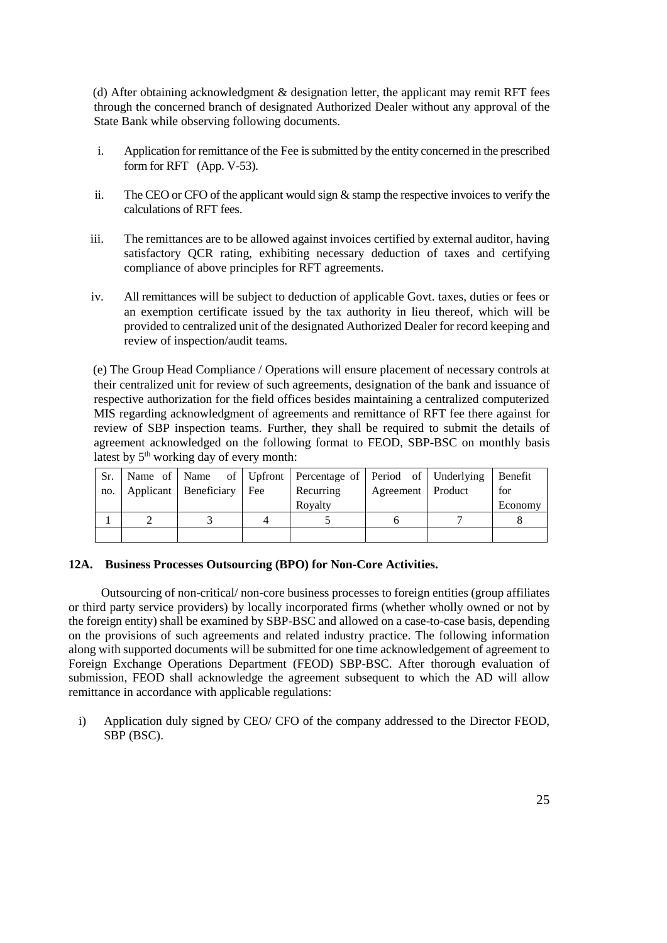(d) After obtaining acknowledgment & designation letter, the applicant may remit RFT fees through the concerned branch of designated Authorized Dealer without any approval of the State Bank while observing following documents.

- i. Application for remittance of the Fee is submitted by the entity concerned in the prescribed form for RFT (App. V-53).
- ii. The CEO or CFO of the applicant would sign  $\&$  stamp the respective invoices to verify the calculations of RFT fees.
- iii. The remittances are to be allowed against invoices certified by external auditor, having satisfactory QCR rating, exhibiting necessary deduction of taxes and certifying compliance of above principles for RFT agreements.
- iv. All remittances will be subject to deduction of applicable Govt. taxes, duties or fees or an exemption certificate issued by the tax authority in lieu thereof, which will be provided to centralized unit of the designated Authorized Dealer for record keeping and review of inspection/audit teams.

(e) The Group Head Compliance / Operations will ensure placement of necessary controls at their centralized unit for review of such agreements, designation of the bank and issuance of respective authorization for the field offices besides maintaining a centralized computerized MIS regarding acknowledgment of agreements and remittance of RFT fee there against for review of SBP inspection teams. Further, they shall be required to submit the details of agreement acknowledged on the following format to FEOD, SBP-BSC on monthly basis latest by 5<sup>th</sup> working day of every month:

| Sr. |                               | Name of   Name of   Upfront   Percentage of   Period of   Underlying   Benefit |                     |         |
|-----|-------------------------------|--------------------------------------------------------------------------------|---------------------|---------|
| no. | Applicant   Beneficiary   Fee | Recurring                                                                      | Agreement   Product | for     |
|     |                               | Royalty                                                                        |                     | Economy |
|     |                               |                                                                                |                     |         |
|     |                               |                                                                                |                     |         |

### **12A. Business Processes Outsourcing (BPO) for Non-Core Activities.**

 Outsourcing of non-critical/ non-core business processes to foreign entities (group affiliates or third party service providers) by locally incorporated firms (whether wholly owned or not by the foreign entity) shall be examined by SBP-BSC and allowed on a case-to-case basis, depending on the provisions of such agreements and related industry practice. The following information along with supported documents will be submitted for one time acknowledgement of agreement to Foreign Exchange Operations Department (FEOD) SBP-BSC. After thorough evaluation of submission, FEOD shall acknowledge the agreement subsequent to which the AD will allow remittance in accordance with applicable regulations:

i) Application duly signed by CEO/ CFO of the company addressed to the Director FEOD, SBP (BSC).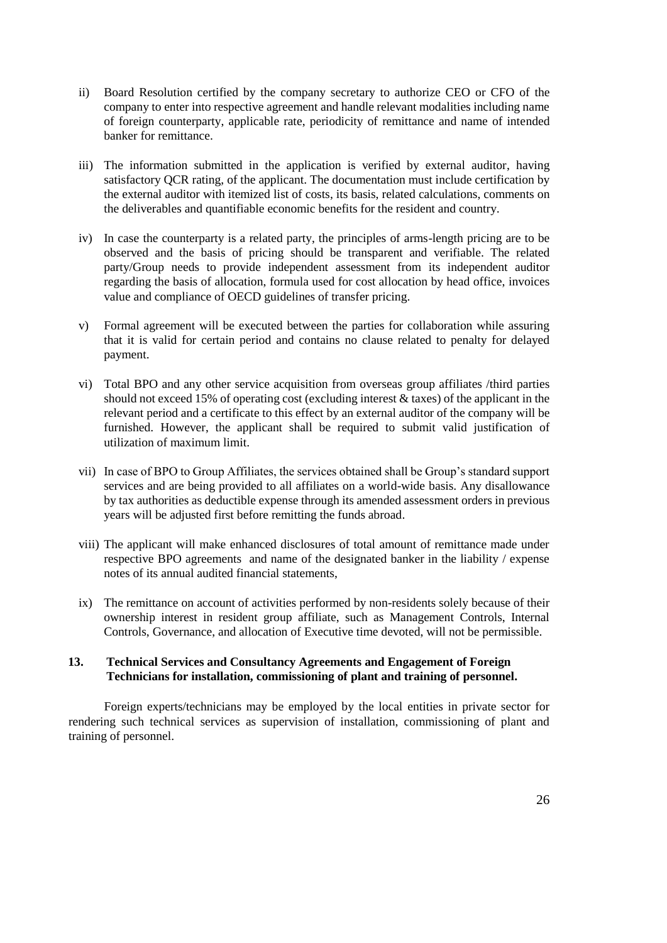- ii) Board Resolution certified by the company secretary to authorize CEO or CFO of the company to enter into respective agreement and handle relevant modalities including name of foreign counterparty, applicable rate, periodicity of remittance and name of intended banker for remittance.
- iii) The information submitted in the application is verified by external auditor, having satisfactory QCR rating, of the applicant. The documentation must include certification by the external auditor with itemized list of costs, its basis, related calculations, comments on the deliverables and quantifiable economic benefits for the resident and country.
- iv) In case the counterparty is a related party, the principles of arms-length pricing are to be observed and the basis of pricing should be transparent and verifiable. The related party/Group needs to provide independent assessment from its independent auditor regarding the basis of allocation, formula used for cost allocation by head office, invoices value and compliance of OECD guidelines of transfer pricing.
- v) Formal agreement will be executed between the parties for collaboration while assuring that it is valid for certain period and contains no clause related to penalty for delayed payment.
- vi) Total BPO and any other service acquisition from overseas group affiliates /third parties should not exceed 15% of operating cost (excluding interest & taxes) of the applicant in the relevant period and a certificate to this effect by an external auditor of the company will be furnished. However, the applicant shall be required to submit valid justification of utilization of maximum limit.
- vii) In case of BPO to Group Affiliates, the services obtained shall be Group's standard support services and are being provided to all affiliates on a world-wide basis. Any disallowance by tax authorities as deductible expense through its amended assessment orders in previous years will be adjusted first before remitting the funds abroad.
- viii) The applicant will make enhanced disclosures of total amount of remittance made under respective BPO agreements and name of the designated banker in the liability / expense notes of its annual audited financial statements,
- ix) The remittance on account of activities performed by non-residents solely because of their ownership interest in resident group affiliate, such as Management Controls, Internal Controls, Governance, and allocation of Executive time devoted, will not be permissible.

## **13. Technical Services and Consultancy Agreements and Engagement of Foreign Technicians for installation, commissioning of plant and training of personnel.**

 Foreign experts/technicians may be employed by the local entities in private sector for rendering such technical services as supervision of installation, commissioning of plant and training of personnel.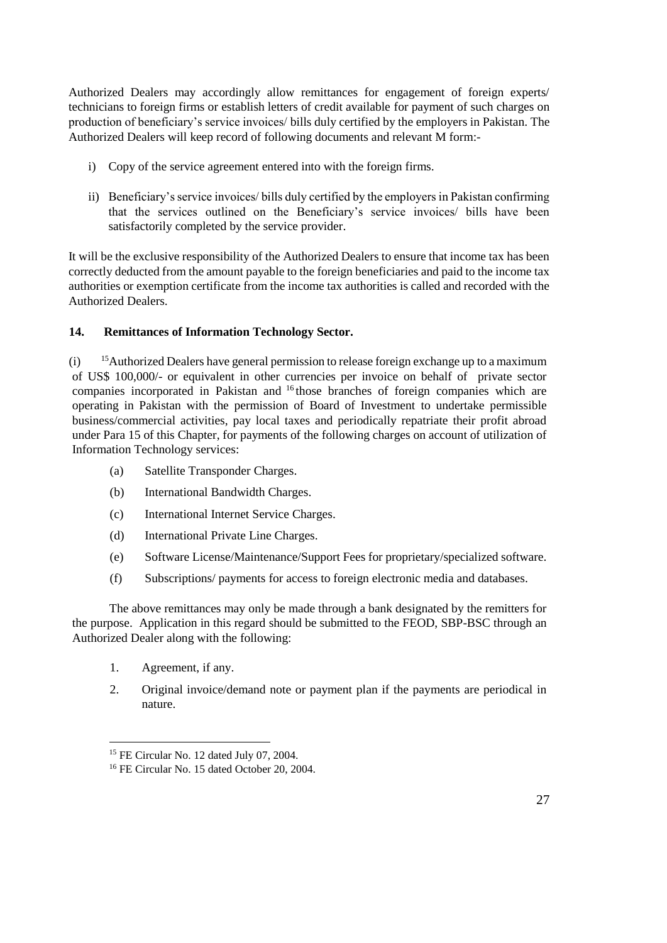Authorized Dealers may accordingly allow remittances for engagement of foreign experts/ technicians to foreign firms or establish letters of credit available for payment of such charges on production of beneficiary's service invoices/ bills duly certified by the employers in Pakistan. The Authorized Dealers will keep record of following documents and relevant M form:-

- i) Copy of the service agreement entered into with the foreign firms.
- ii) Beneficiary's service invoices/ bills duly certified by the employers in Pakistan confirming that the services outlined on the Beneficiary's service invoices/ bills have been satisfactorily completed by the service provider.

It will be the exclusive responsibility of the Authorized Dealers to ensure that income tax has been correctly deducted from the amount payable to the foreign beneficiaries and paid to the income tax authorities or exemption certificate from the income tax authorities is called and recorded with the Authorized Dealers.

# **14. Remittances of Information Technology Sector.**

(i) <sup>15</sup>Authorized Dealers have general permission to release foreign exchange up to a maximum of US\$ 100,000/- or equivalent in other currencies per invoice on behalf of private sector companies incorporated in Pakistan and <sup>16</sup> those branches of foreign companies which are operating in Pakistan with the permission of Board of Investment to undertake permissible business/commercial activities, pay local taxes and periodically repatriate their profit abroad under Para 15 of this Chapter, for payments of the following charges on account of utilization of Information Technology services:

- (a) Satellite Transponder Charges.
- (b) International Bandwidth Charges.
- (c) International Internet Service Charges.
- (d) International Private Line Charges.
- (e) Software License/Maintenance/Support Fees for proprietary/specialized software.
- (f) Subscriptions/ payments for access to foreign electronic media and databases.

The above remittances may only be made through a bank designated by the remitters for the purpose. Application in this regard should be submitted to the FEOD, SBP-BSC through an Authorized Dealer along with the following:

1. Agreement, if any.

 $\overline{a}$ 

2. Original invoice/demand note or payment plan if the payments are periodical in nature.

<sup>15</sup> FE Circular No. 12 dated July 07, 2004.

<sup>16</sup> FE Circular No. 15 dated October 20, 2004.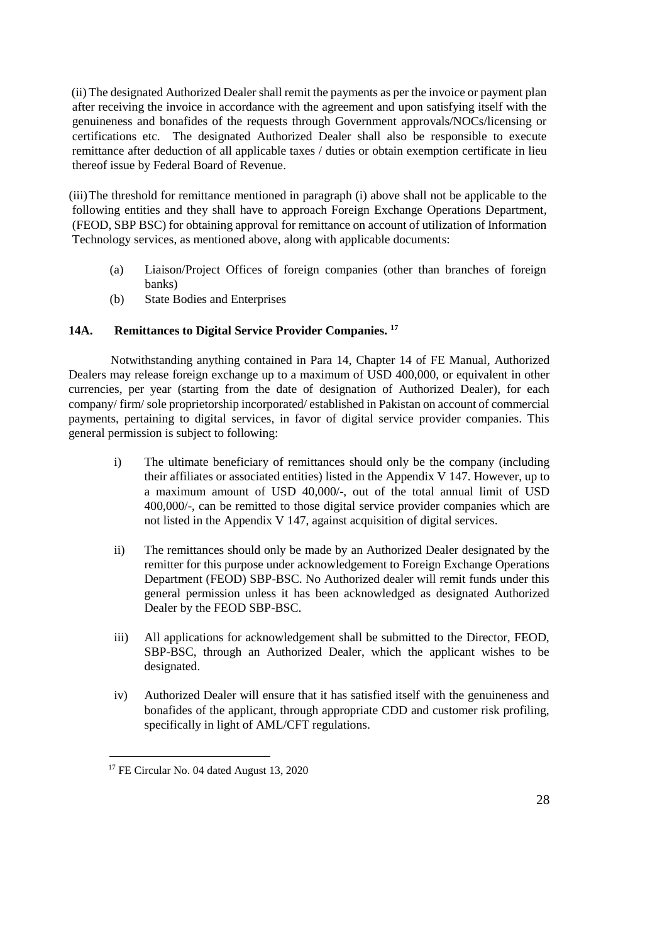(ii) The designated Authorized Dealer shall remit the payments as per the invoice or payment plan after receiving the invoice in accordance with the agreement and upon satisfying itself with the genuineness and bonafides of the requests through Government approvals/NOCs/licensing or certifications etc. The designated Authorized Dealer shall also be responsible to execute remittance after deduction of all applicable taxes / duties or obtain exemption certificate in lieu thereof issue by Federal Board of Revenue.

(iii)The threshold for remittance mentioned in paragraph (i) above shall not be applicable to the following entities and they shall have to approach Foreign Exchange Operations Department, (FEOD, SBP BSC) for obtaining approval for remittance on account of utilization of Information Technology services, as mentioned above, along with applicable documents:

- (a) Liaison/Project Offices of foreign companies (other than branches of foreign banks)
- (b) State Bodies and Enterprises

## **14A. Remittances to Digital Service Provider Companies. 17**

 Notwithstanding anything contained in Para 14, Chapter 14 of FE Manual, Authorized Dealers may release foreign exchange up to a maximum of USD 400,000, or equivalent in other currencies, per year (starting from the date of designation of Authorized Dealer), for each company/ firm/ sole proprietorship incorporated/ established in Pakistan on account of commercial payments, pertaining to digital services, in favor of digital service provider companies. This general permission is subject to following:

- i) The ultimate beneficiary of remittances should only be the company (including their affiliates or associated entities) listed in the Appendix V 147. However, up to a maximum amount of USD 40,000/-, out of the total annual limit of USD 400,000/-, can be remitted to those digital service provider companies which are not listed in the Appendix V 147, against acquisition of digital services.
- ii) The remittances should only be made by an Authorized Dealer designated by the remitter for this purpose under acknowledgement to Foreign Exchange Operations Department (FEOD) SBP-BSC. No Authorized dealer will remit funds under this general permission unless it has been acknowledged as designated Authorized Dealer by the FEOD SBP-BSC.
- iii) All applications for acknowledgement shall be submitted to the Director, FEOD, SBP-BSC, through an Authorized Dealer, which the applicant wishes to be designated.
- iv) Authorized Dealer will ensure that it has satisfied itself with the genuineness and bonafides of the applicant, through appropriate CDD and customer risk profiling, specifically in light of AML/CFT regulations.

 $\overline{a}$ 

<sup>&</sup>lt;sup>17</sup> FE Circular No. 04 dated August 13, 2020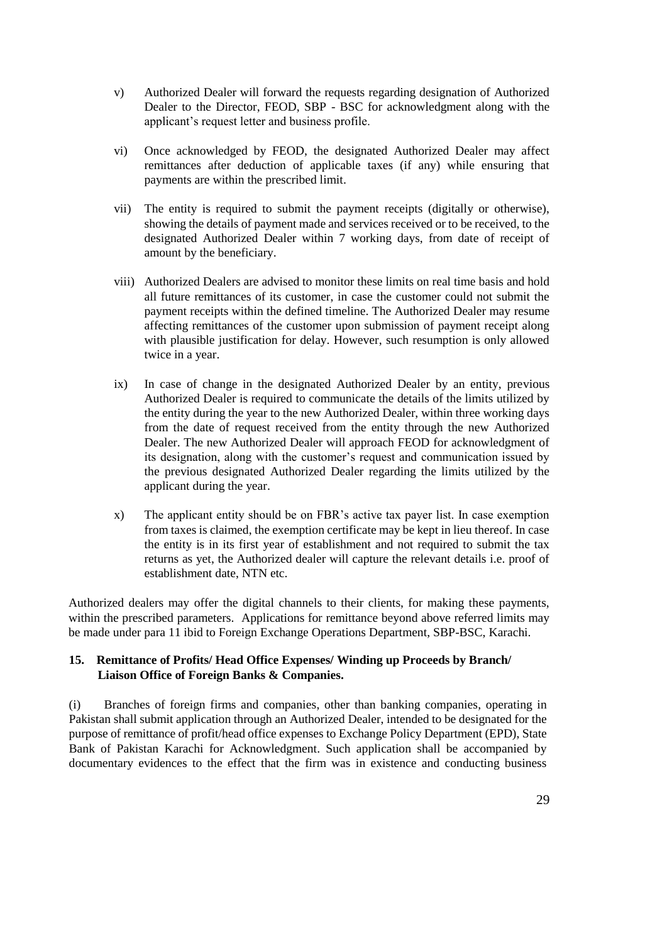- v) Authorized Dealer will forward the requests regarding designation of Authorized Dealer to the Director, FEOD, SBP - BSC for acknowledgment along with the applicant's request letter and business profile.
- vi) Once acknowledged by FEOD, the designated Authorized Dealer may affect remittances after deduction of applicable taxes (if any) while ensuring that payments are within the prescribed limit.
- vii) The entity is required to submit the payment receipts (digitally or otherwise), showing the details of payment made and services received or to be received, to the designated Authorized Dealer within 7 working days, from date of receipt of amount by the beneficiary.
- viii) Authorized Dealers are advised to monitor these limits on real time basis and hold all future remittances of its customer, in case the customer could not submit the payment receipts within the defined timeline. The Authorized Dealer may resume affecting remittances of the customer upon submission of payment receipt along with plausible justification for delay. However, such resumption is only allowed twice in a year.
- ix) In case of change in the designated Authorized Dealer by an entity, previous Authorized Dealer is required to communicate the details of the limits utilized by the entity during the year to the new Authorized Dealer, within three working days from the date of request received from the entity through the new Authorized Dealer. The new Authorized Dealer will approach FEOD for acknowledgment of its designation, along with the customer's request and communication issued by the previous designated Authorized Dealer regarding the limits utilized by the applicant during the year.
- x) The applicant entity should be on FBR's active tax payer list. In case exemption from taxes is claimed, the exemption certificate may be kept in lieu thereof. In case the entity is in its first year of establishment and not required to submit the tax returns as yet, the Authorized dealer will capture the relevant details i.e. proof of establishment date, NTN etc.

Authorized dealers may offer the digital channels to their clients, for making these payments, within the prescribed parameters. Applications for remittance beyond above referred limits may be made under para 11 ibid to Foreign Exchange Operations Department, SBP-BSC, Karachi.

### **15. Remittance of Profits/ Head Office Expenses/ Winding up Proceeds by Branch/ Liaison Office of Foreign Banks & Companies.**

(i) Branches of foreign firms and companies, other than banking companies, operating in Pakistan shall submit application through an Authorized Dealer, intended to be designated for the purpose of remittance of profit/head office expenses to Exchange Policy Department (EPD), State Bank of Pakistan Karachi for Acknowledgment. Such application shall be accompanied by documentary evidences to the effect that the firm was in existence and conducting business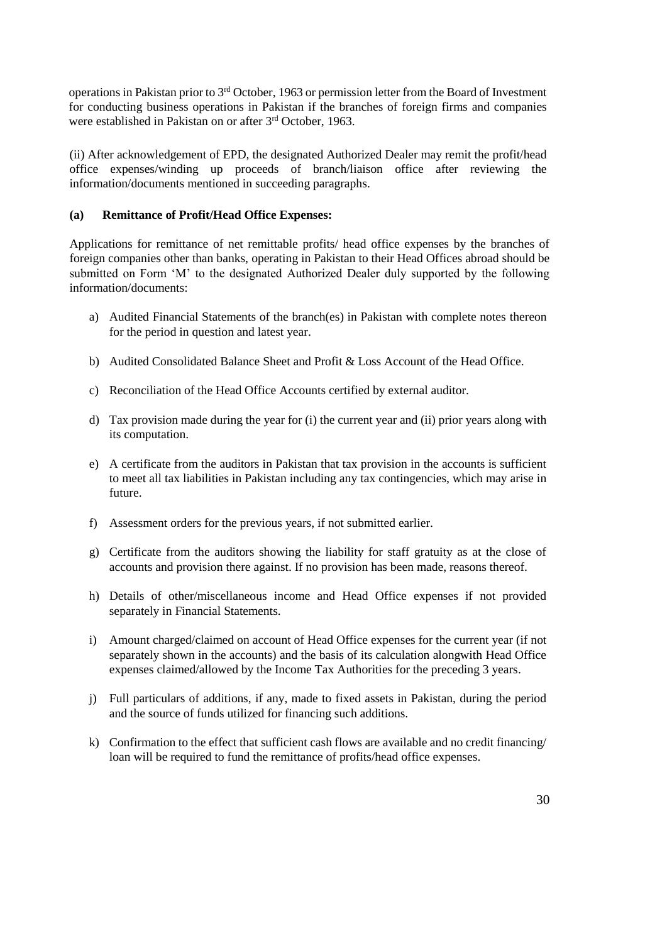operations in Pakistan prior to 3rd October, 1963 or permission letter from the Board of Investment for conducting business operations in Pakistan if the branches of foreign firms and companies were established in Pakistan on or after 3<sup>rd</sup> October, 1963.

(ii) After acknowledgement of EPD, the designated Authorized Dealer may remit the profit/head office expenses/winding up proceeds of branch/liaison office after reviewing the information/documents mentioned in succeeding paragraphs.

## **(a) Remittance of Profit/Head Office Expenses:**

Applications for remittance of net remittable profits/ head office expenses by the branches of foreign companies other than banks, operating in Pakistan to their Head Offices abroad should be submitted on Form 'M' to the designated Authorized Dealer duly supported by the following information/documents:

- a) Audited Financial Statements of the branch(es) in Pakistan with complete notes thereon for the period in question and latest year.
- b) Audited Consolidated Balance Sheet and Profit & Loss Account of the Head Office.
- c) Reconciliation of the Head Office Accounts certified by external auditor.
- d) Tax provision made during the year for (i) the current year and (ii) prior years along with its computation.
- e) A certificate from the auditors in Pakistan that tax provision in the accounts is sufficient to meet all tax liabilities in Pakistan including any tax contingencies, which may arise in future.
- f) Assessment orders for the previous years, if not submitted earlier.
- g) Certificate from the auditors showing the liability for staff gratuity as at the close of accounts and provision there against. If no provision has been made, reasons thereof.
- h) Details of other/miscellaneous income and Head Office expenses if not provided separately in Financial Statements.
- i) Amount charged/claimed on account of Head Office expenses for the current year (if not separately shown in the accounts) and the basis of its calculation alongwith Head Office expenses claimed/allowed by the Income Tax Authorities for the preceding 3 years.
- j) Full particulars of additions, if any, made to fixed assets in Pakistan, during the period and the source of funds utilized for financing such additions.
- k) Confirmation to the effect that sufficient cash flows are available and no credit financing/ loan will be required to fund the remittance of profits/head office expenses.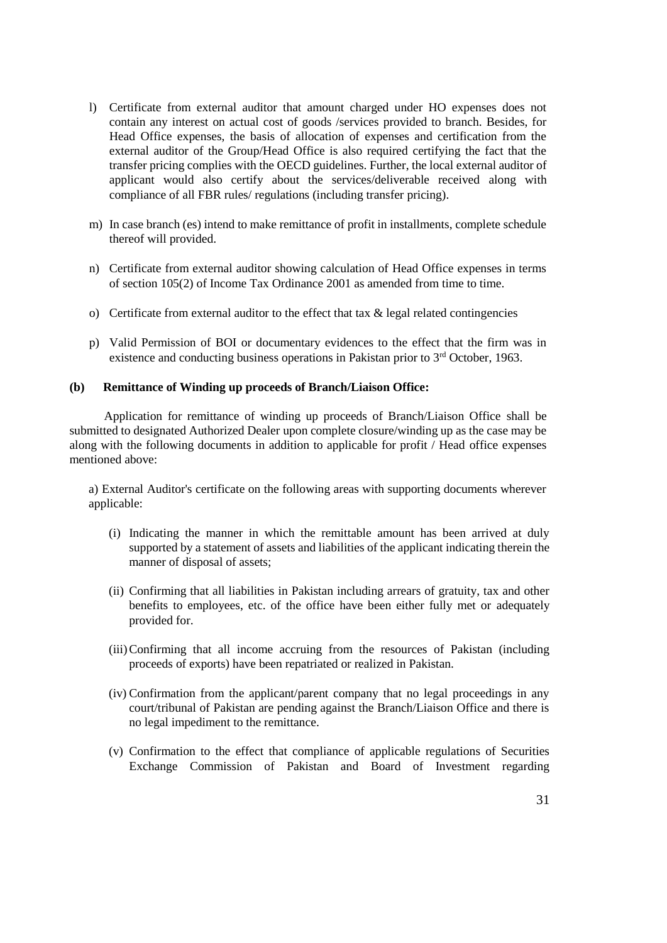- l) Certificate from external auditor that amount charged under HO expenses does not contain any interest on actual cost of goods /services provided to branch. Besides, for Head Office expenses, the basis of allocation of expenses and certification from the external auditor of the Group/Head Office is also required certifying the fact that the transfer pricing complies with the OECD guidelines. Further, the local external auditor of applicant would also certify about the services/deliverable received along with compliance of all FBR rules/ regulations (including transfer pricing).
- m) In case branch (es) intend to make remittance of profit in installments, complete schedule thereof will provided.
- n) Certificate from external auditor showing calculation of Head Office expenses in terms of section 105(2) of Income Tax Ordinance 2001 as amended from time to time.
- o) Certificate from external auditor to the effect that tax  $\&$  legal related contingencies
- p) Valid Permission of BOI or documentary evidences to the effect that the firm was in existence and conducting business operations in Pakistan prior to 3rd October, 1963.

### **(b) Remittance of Winding up proceeds of Branch/Liaison Office:**

 Application for remittance of winding up proceeds of Branch/Liaison Office shall be submitted to designated Authorized Dealer upon complete closure/winding up as the case may be along with the following documents in addition to applicable for profit / Head office expenses mentioned above:

a) External Auditor's certificate on the following areas with supporting documents wherever applicable:

- (i) Indicating the manner in which the remittable amount has been arrived at duly supported by a statement of assets and liabilities of the applicant indicating therein the manner of disposal of assets;
- (ii) Confirming that all liabilities in Pakistan including arrears of gratuity, tax and other benefits to employees, etc. of the office have been either fully met or adequately provided for.
- (iii)Confirming that all income accruing from the resources of Pakistan (including proceeds of exports) have been repatriated or realized in Pakistan.
- (iv) Confirmation from the applicant/parent company that no legal proceedings in any court/tribunal of Pakistan are pending against the Branch/Liaison Office and there is no legal impediment to the remittance.
- (v) Confirmation to the effect that compliance of applicable regulations of Securities Exchange Commission of Pakistan and Board of Investment regarding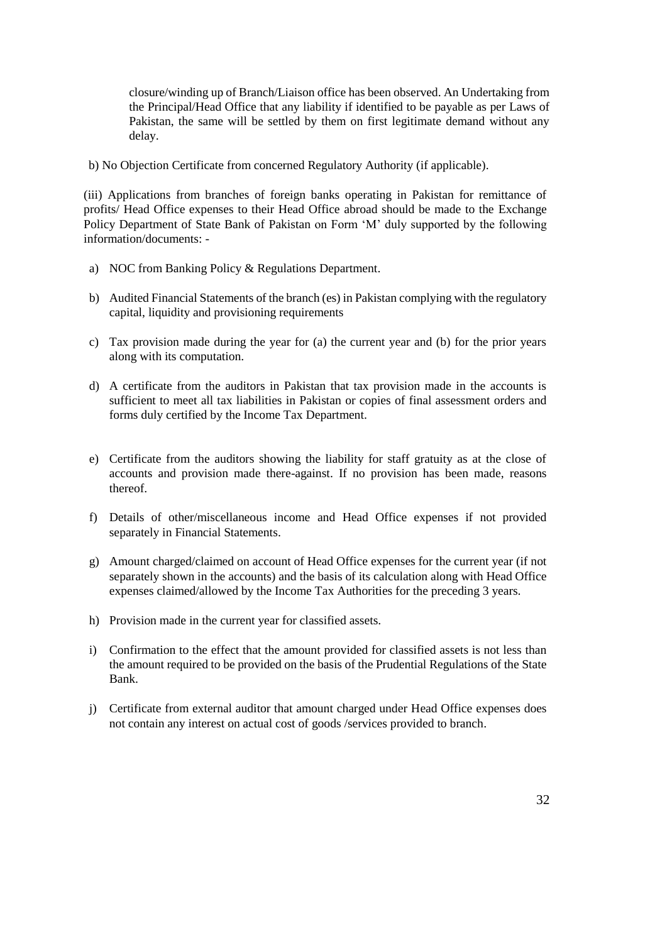closure/winding up of Branch/Liaison office has been observed. An Undertaking from the Principal/Head Office that any liability if identified to be payable as per Laws of Pakistan, the same will be settled by them on first legitimate demand without any delay.

b) No Objection Certificate from concerned Regulatory Authority (if applicable).

(iii) Applications from branches of foreign banks operating in Pakistan for remittance of profits/ Head Office expenses to their Head Office abroad should be made to the Exchange Policy Department of State Bank of Pakistan on Form 'M' duly supported by the following information/documents: -

- a) NOC from Banking Policy & Regulations Department.
- b) Audited Financial Statements of the branch (es) in Pakistan complying with the regulatory capital, liquidity and provisioning requirements
- c) Tax provision made during the year for (a) the current year and (b) for the prior years along with its computation.
- d) A certificate from the auditors in Pakistan that tax provision made in the accounts is sufficient to meet all tax liabilities in Pakistan or copies of final assessment orders and forms duly certified by the Income Tax Department.
- e) Certificate from the auditors showing the liability for staff gratuity as at the close of accounts and provision made there-against. If no provision has been made, reasons thereof.
- f) Details of other/miscellaneous income and Head Office expenses if not provided separately in Financial Statements.
- g) Amount charged/claimed on account of Head Office expenses for the current year (if not separately shown in the accounts) and the basis of its calculation along with Head Office expenses claimed/allowed by the Income Tax Authorities for the preceding 3 years.
- h) Provision made in the current year for classified assets.
- i) Confirmation to the effect that the amount provided for classified assets is not less than the amount required to be provided on the basis of the Prudential Regulations of the State Bank.
- j) Certificate from external auditor that amount charged under Head Office expenses does not contain any interest on actual cost of goods /services provided to branch.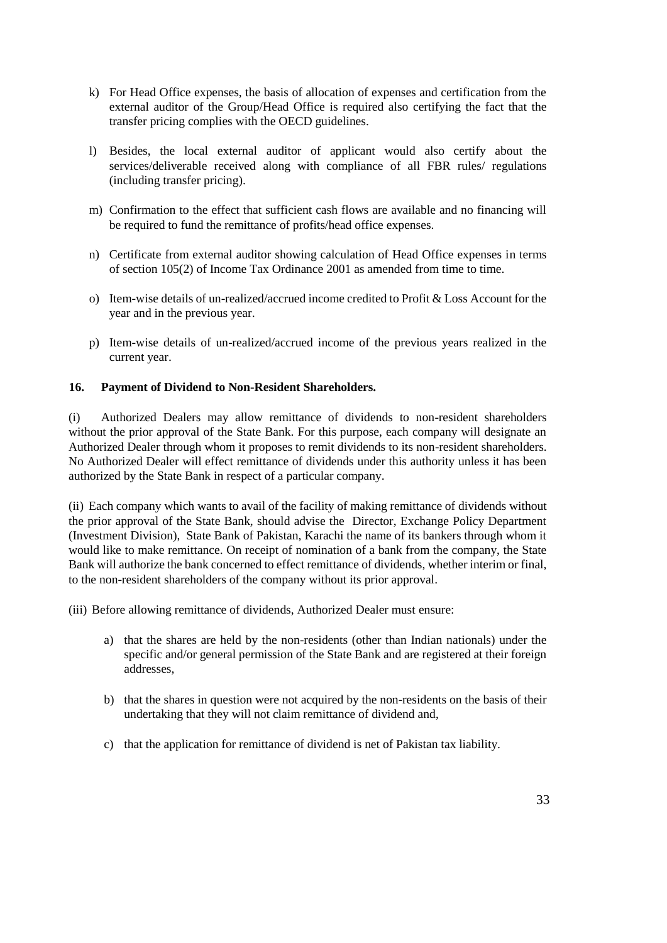- k) For Head Office expenses, the basis of allocation of expenses and certification from the external auditor of the Group/Head Office is required also certifying the fact that the transfer pricing complies with the OECD guidelines.
- l) Besides, the local external auditor of applicant would also certify about the services/deliverable received along with compliance of all FBR rules/ regulations (including transfer pricing).
- m) Confirmation to the effect that sufficient cash flows are available and no financing will be required to fund the remittance of profits/head office expenses.
- n) Certificate from external auditor showing calculation of Head Office expenses in terms of section 105(2) of Income Tax Ordinance 2001 as amended from time to time.
- o) Item-wise details of un-realized/accrued income credited to Profit & Loss Account for the year and in the previous year.
- p) Item-wise details of un-realized/accrued income of the previous years realized in the current year.

## **16. Payment of Dividend to Non-Resident Shareholders.**

(i) Authorized Dealers may allow remittance of dividends to non-resident shareholders without the prior approval of the State Bank. For this purpose, each company will designate an Authorized Dealer through whom it proposes to remit dividends to its non-resident shareholders. No Authorized Dealer will effect remittance of dividends under this authority unless it has been authorized by the State Bank in respect of a particular company.

(ii) Each company which wants to avail of the facility of making remittance of dividends without the prior approval of the State Bank, should advise the Director, Exchange Policy Department (Investment Division), State Bank of Pakistan, Karachi the name of its bankers through whom it would like to make remittance. On receipt of nomination of a bank from the company, the State Bank will authorize the bank concerned to effect remittance of dividends, whether interim or final, to the non-resident shareholders of the company without its prior approval.

(iii) Before allowing remittance of dividends, Authorized Dealer must ensure:

- a) that the shares are held by the non-residents (other than Indian nationals) under the specific and/or general permission of the State Bank and are registered at their foreign addresses,
- b) that the shares in question were not acquired by the non-residents on the basis of their undertaking that they will not claim remittance of dividend and,
- c) that the application for remittance of dividend is net of Pakistan tax liability.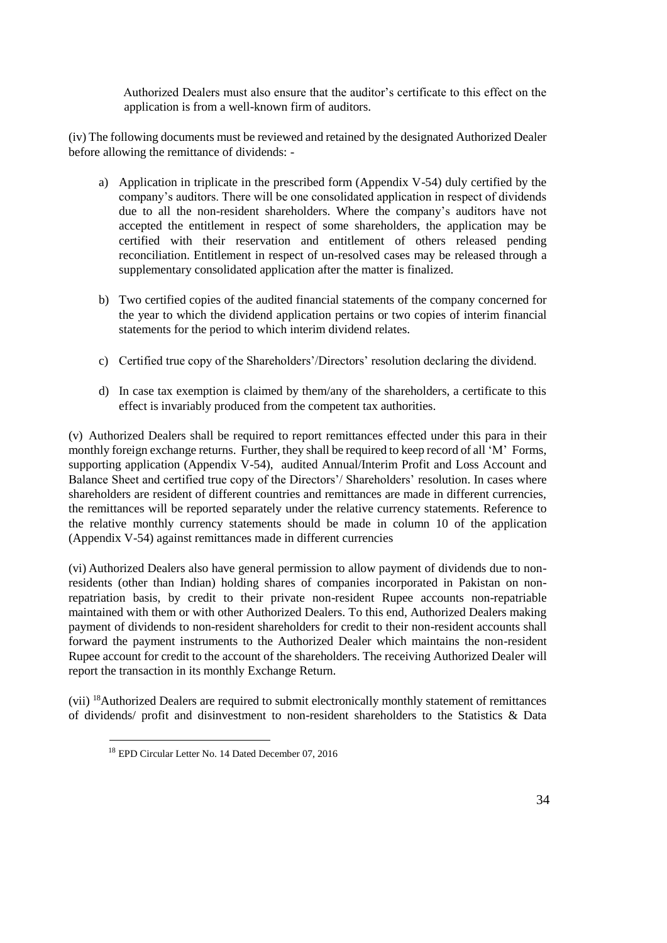Authorized Dealers must also ensure that the auditor's certificate to this effect on the application is from a well-known firm of auditors.

(iv) The following documents must be reviewed and retained by the designated Authorized Dealer before allowing the remittance of dividends: -

- a) Application in triplicate in the prescribed form (Appendix V-54) duly certified by the company's auditors. There will be one consolidated application in respect of dividends due to all the non-resident shareholders. Where the company's auditors have not accepted the entitlement in respect of some shareholders, the application may be certified with their reservation and entitlement of others released pending reconciliation. Entitlement in respect of un-resolved cases may be released through a supplementary consolidated application after the matter is finalized.
- b) Two certified copies of the audited financial statements of the company concerned for the year to which the dividend application pertains or two copies of interim financial statements for the period to which interim dividend relates.
- c) Certified true copy of the Shareholders'/Directors' resolution declaring the dividend.
- d) In case tax exemption is claimed by them/any of the shareholders, a certificate to this effect is invariably produced from the competent tax authorities.

(v) Authorized Dealers shall be required to report remittances effected under this para in their monthly foreign exchange returns. Further, they shall be required to keep record of all 'M' Forms, supporting application (Appendix V-54), audited Annual/Interim Profit and Loss Account and Balance Sheet and certified true copy of the Directors'/ Shareholders' resolution. In cases where shareholders are resident of different countries and remittances are made in different currencies, the remittances will be reported separately under the relative currency statements. Reference to the relative monthly currency statements should be made in column 10 of the application (Appendix V-54) against remittances made in different currencies

(vi) Authorized Dealers also have general permission to allow payment of dividends due to nonresidents (other than Indian) holding shares of companies incorporated in Pakistan on nonrepatriation basis, by credit to their private non-resident Rupee accounts non-repatriable maintained with them or with other Authorized Dealers. To this end, Authorized Dealers making payment of dividends to non-resident shareholders for credit to their non-resident accounts shall forward the payment instruments to the Authorized Dealer which maintains the non-resident Rupee account for credit to the account of the shareholders. The receiving Authorized Dealer will report the transaction in its monthly Exchange Return.

(vii) <sup>18</sup>Authorized Dealers are required to submit electronically monthly statement of remittances of dividends/ profit and disinvestment to non-resident shareholders to the Statistics & Data

l

<sup>18</sup> EPD Circular Letter No. 14 Dated December 07, 2016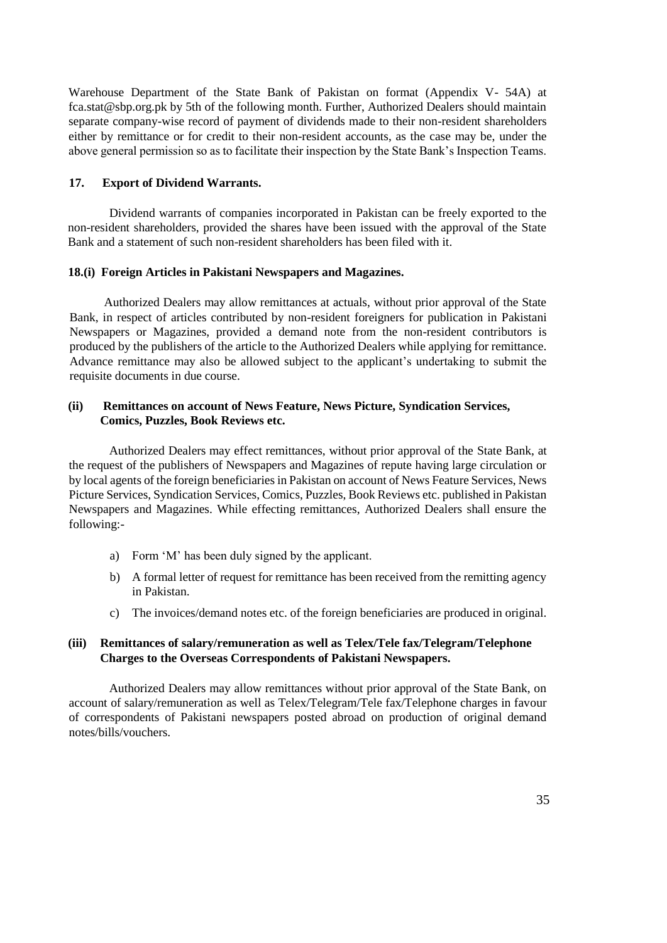Warehouse Department of the State Bank of Pakistan on format (Appendix V- 54A) at fca.stat@sbp.org.pk by 5th of the following month. Further, Authorized Dealers should maintain separate company-wise record of payment of dividends made to their non-resident shareholders either by remittance or for credit to their non-resident accounts, as the case may be, under the above general permission so as to facilitate their inspection by the State Bank's Inspection Teams.

### **17. Export of Dividend Warrants.**

Dividend warrants of companies incorporated in Pakistan can be freely exported to the non-resident shareholders, provided the shares have been issued with the approval of the State Bank and a statement of such non-resident shareholders has been filed with it.

#### **18.(i) Foreign Articles in Pakistani Newspapers and Magazines.**

 Authorized Dealers may allow remittances at actuals, without prior approval of the State Bank, in respect of articles contributed by non-resident foreigners for publication in Pakistani Newspapers or Magazines, provided a demand note from the non-resident contributors is produced by the publishers of the article to the Authorized Dealers while applying for remittance. Advance remittance may also be allowed subject to the applicant's undertaking to submit the requisite documents in due course.

### **(ii) Remittances on account of News Feature, News Picture, Syndication Services, Comics, Puzzles, Book Reviews etc.**

Authorized Dealers may effect remittances, without prior approval of the State Bank, at the request of the publishers of Newspapers and Magazines of repute having large circulation or by local agents of the foreign beneficiaries in Pakistan on account of News Feature Services, News Picture Services, Syndication Services, Comics, Puzzles, Book Reviews etc. published in Pakistan Newspapers and Magazines. While effecting remittances, Authorized Dealers shall ensure the following:-

- a) Form 'M' has been duly signed by the applicant.
- b) A formal letter of request for remittance has been received from the remitting agency in Pakistan.
- c) The invoices/demand notes etc. of the foreign beneficiaries are produced in original.

### **(iii) Remittances of salary/remuneration as well as Telex/Tele fax/Telegram/Telephone Charges to the Overseas Correspondents of Pakistani Newspapers.**

Authorized Dealers may allow remittances without prior approval of the State Bank, on account of salary/remuneration as well as Telex/Telegram/Tele fax/Telephone charges in favour of correspondents of Pakistani newspapers posted abroad on production of original demand notes/bills/vouchers.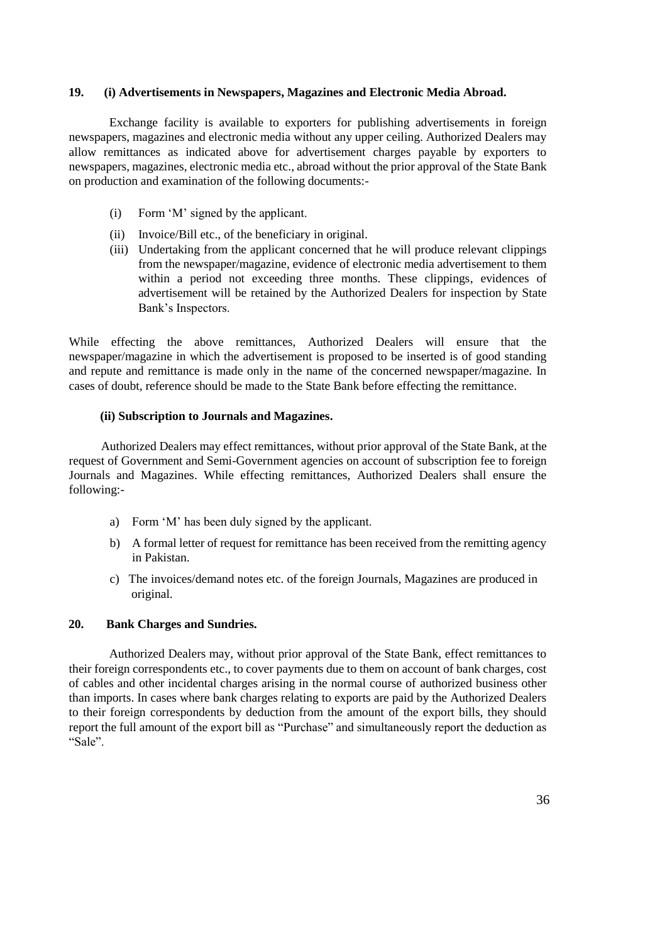#### **19. (i) Advertisements in Newspapers, Magazines and Electronic Media Abroad.**

Exchange facility is available to exporters for publishing advertisements in foreign newspapers, magazines and electronic media without any upper ceiling. Authorized Dealers may allow remittances as indicated above for advertisement charges payable by exporters to newspapers, magazines, electronic media etc., abroad without the prior approval of the State Bank on production and examination of the following documents:-

- (i) Form 'M' signed by the applicant.
- (ii) Invoice/Bill etc., of the beneficiary in original.
- (iii) Undertaking from the applicant concerned that he will produce relevant clippings from the newspaper/magazine, evidence of electronic media advertisement to them within a period not exceeding three months. These clippings, evidences of advertisement will be retained by the Authorized Dealers for inspection by State Bank's Inspectors.

While effecting the above remittances, Authorized Dealers will ensure that the newspaper/magazine in which the advertisement is proposed to be inserted is of good standing and repute and remittance is made only in the name of the concerned newspaper/magazine. In cases of doubt, reference should be made to the State Bank before effecting the remittance.

### **(ii) Subscription to Journals and Magazines.**

 Authorized Dealers may effect remittances, without prior approval of the State Bank, at the request of Government and Semi-Government agencies on account of subscription fee to foreign Journals and Magazines. While effecting remittances, Authorized Dealers shall ensure the following:-

- a) Form 'M' has been duly signed by the applicant.
- b) A formal letter of request for remittance has been received from the remitting agency in Pakistan.
- c) The invoices/demand notes etc. of the foreign Journals, Magazines are produced in original.

### **20. Bank Charges and Sundries.**

Authorized Dealers may, without prior approval of the State Bank, effect remittances to their foreign correspondents etc., to cover payments due to them on account of bank charges, cost of cables and other incidental charges arising in the normal course of authorized business other than imports. In cases where bank charges relating to exports are paid by the Authorized Dealers to their foreign correspondents by deduction from the amount of the export bills, they should report the full amount of the export bill as "Purchase" and simultaneously report the deduction as "Sale".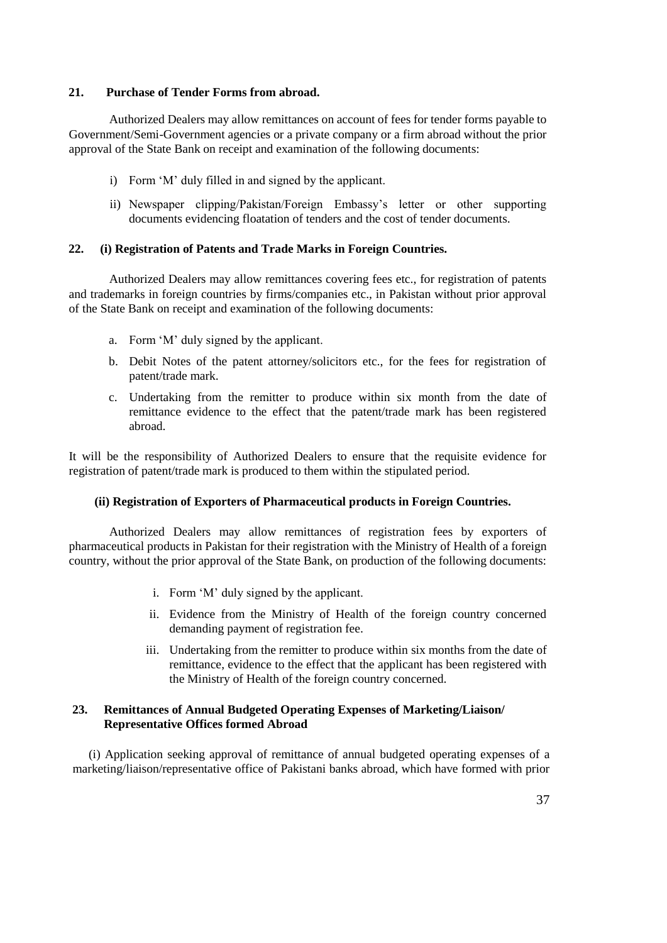### **21. Purchase of Tender Forms from abroad.**

Authorized Dealers may allow remittances on account of fees for tender forms payable to Government/Semi-Government agencies or a private company or a firm abroad without the prior approval of the State Bank on receipt and examination of the following documents:

- i) Form 'M' duly filled in and signed by the applicant.
- ii) Newspaper clipping/Pakistan/Foreign Embassy's letter or other supporting documents evidencing floatation of tenders and the cost of tender documents.

#### **22. (i) Registration of Patents and Trade Marks in Foreign Countries.**

Authorized Dealers may allow remittances covering fees etc., for registration of patents and trademarks in foreign countries by firms/companies etc., in Pakistan without prior approval of the State Bank on receipt and examination of the following documents:

- a. Form 'M' duly signed by the applicant.
- b. Debit Notes of the patent attorney/solicitors etc., for the fees for registration of patent/trade mark.
- c. Undertaking from the remitter to produce within six month from the date of remittance evidence to the effect that the patent/trade mark has been registered abroad.

It will be the responsibility of Authorized Dealers to ensure that the requisite evidence for registration of patent/trade mark is produced to them within the stipulated period.

#### **(ii) Registration of Exporters of Pharmaceutical products in Foreign Countries.**

Authorized Dealers may allow remittances of registration fees by exporters of pharmaceutical products in Pakistan for their registration with the Ministry of Health of a foreign country, without the prior approval of the State Bank, on production of the following documents:

- i. Form 'M' duly signed by the applicant.
- ii. Evidence from the Ministry of Health of the foreign country concerned demanding payment of registration fee.
- iii. Undertaking from the remitter to produce within six months from the date of remittance, evidence to the effect that the applicant has been registered with the Ministry of Health of the foreign country concerned.

### **23. Remittances of Annual Budgeted Operating Expenses of Marketing/Liaison/ Representative Offices formed Abroad**

(i) Application seeking approval of remittance of annual budgeted operating expenses of a marketing/liaison/representative office of Pakistani banks abroad, which have formed with prior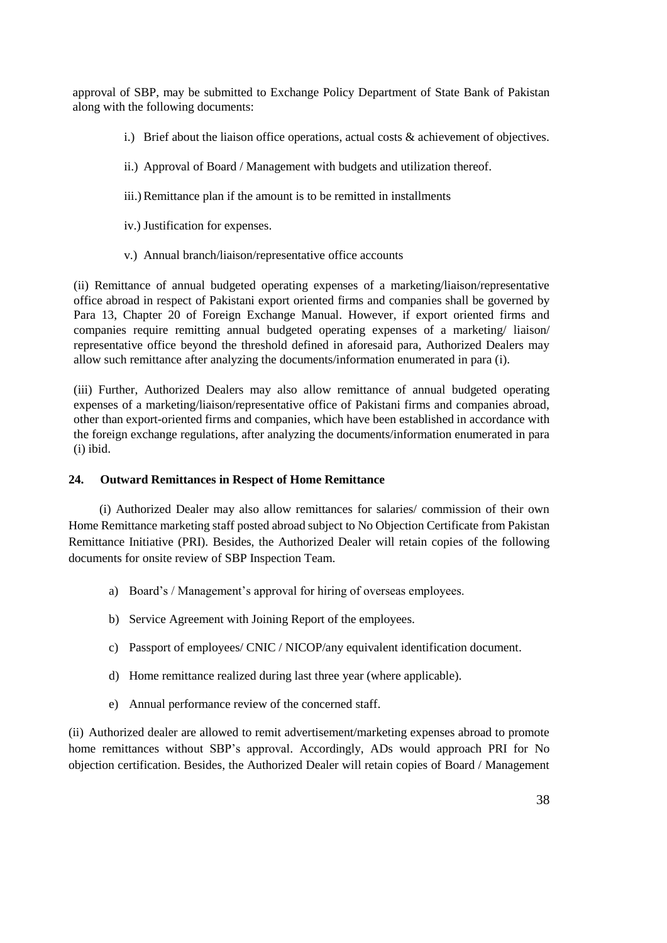approval of SBP, may be submitted to Exchange Policy Department of State Bank of Pakistan along with the following documents:

- i.) Brief about the liaison office operations, actual costs  $\&$  achievement of objectives.
- ii.) Approval of Board / Management with budgets and utilization thereof.
- iii.) Remittance plan if the amount is to be remitted in installments
- iv.) Justification for expenses.
- v.) Annual branch/liaison/representative office accounts

(ii) Remittance of annual budgeted operating expenses of a marketing/liaison/representative office abroad in respect of Pakistani export oriented firms and companies shall be governed by Para 13, Chapter 20 of Foreign Exchange Manual. However, if export oriented firms and companies require remitting annual budgeted operating expenses of a marketing/ liaison/ representative office beyond the threshold defined in aforesaid para, Authorized Dealers may allow such remittance after analyzing the documents/information enumerated in para (i).

(iii) Further, Authorized Dealers may also allow remittance of annual budgeted operating expenses of a marketing/liaison/representative office of Pakistani firms and companies abroad, other than export-oriented firms and companies, which have been established in accordance with the foreign exchange regulations, after analyzing the documents/information enumerated in para (i) ibid.

## **24. Outward Remittances in Respect of Home Remittance**

 (i) Authorized Dealer may also allow remittances for salaries/ commission of their own Home Remittance marketing staff posted abroad subject to No Objection Certificate from Pakistan Remittance Initiative (PRI). Besides, the Authorized Dealer will retain copies of the following documents for onsite review of SBP Inspection Team.

- a) Board's / Management's approval for hiring of overseas employees.
- b) Service Agreement with Joining Report of the employees.
- c) Passport of employees/ CNIC / NICOP/any equivalent identification document.
- d) Home remittance realized during last three year (where applicable).
- e) Annual performance review of the concerned staff.

(ii) Authorized dealer are allowed to remit advertisement/marketing expenses abroad to promote home remittances without SBP's approval. Accordingly, ADs would approach PRI for No objection certification. Besides, the Authorized Dealer will retain copies of Board / Management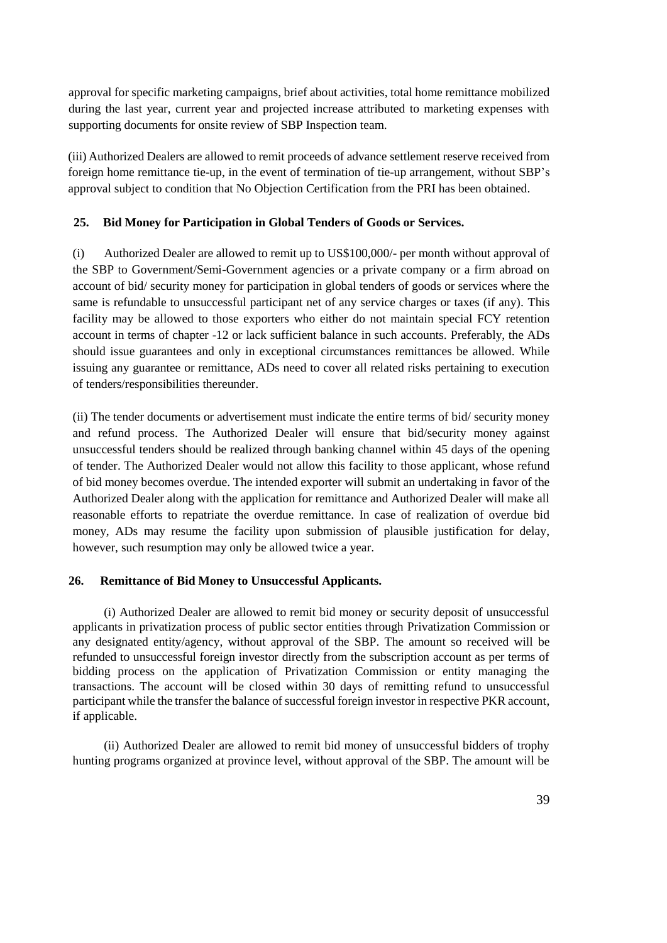approval for specific marketing campaigns, brief about activities, total home remittance mobilized during the last year, current year and projected increase attributed to marketing expenses with supporting documents for onsite review of SBP Inspection team.

(iii) Authorized Dealers are allowed to remit proceeds of advance settlement reserve received from foreign home remittance tie-up, in the event of termination of tie-up arrangement, without SBP's approval subject to condition that No Objection Certification from the PRI has been obtained.

### **25. Bid Money for Participation in Global Tenders of Goods or Services.**

(i) Authorized Dealer are allowed to remit up to US\$100,000/- per month without approval of the SBP to Government/Semi-Government agencies or a private company or a firm abroad on account of bid/ security money for participation in global tenders of goods or services where the same is refundable to unsuccessful participant net of any service charges or taxes (if any). This facility may be allowed to those exporters who either do not maintain special FCY retention account in terms of chapter -12 or lack sufficient balance in such accounts. Preferably, the ADs should issue guarantees and only in exceptional circumstances remittances be allowed. While issuing any guarantee or remittance, ADs need to cover all related risks pertaining to execution of tenders/responsibilities thereunder.

(ii) The tender documents or advertisement must indicate the entire terms of bid/ security money and refund process. The Authorized Dealer will ensure that bid/security money against unsuccessful tenders should be realized through banking channel within 45 days of the opening of tender. The Authorized Dealer would not allow this facility to those applicant, whose refund of bid money becomes overdue. The intended exporter will submit an undertaking in favor of the Authorized Dealer along with the application for remittance and Authorized Dealer will make all reasonable efforts to repatriate the overdue remittance. In case of realization of overdue bid money, ADs may resume the facility upon submission of plausible justification for delay, however, such resumption may only be allowed twice a year.

### **26. Remittance of Bid Money to Unsuccessful Applicants.**

(i) Authorized Dealer are allowed to remit bid money or security deposit of unsuccessful applicants in privatization process of public sector entities through Privatization Commission or any designated entity/agency, without approval of the SBP. The amount so received will be refunded to unsuccessful foreign investor directly from the subscription account as per terms of bidding process on the application of Privatization Commission or entity managing the transactions. The account will be closed within 30 days of remitting refund to unsuccessful participant while the transfer the balance of successful foreign investor in respective PKR account, if applicable.

(ii) Authorized Dealer are allowed to remit bid money of unsuccessful bidders of trophy hunting programs organized at province level, without approval of the SBP. The amount will be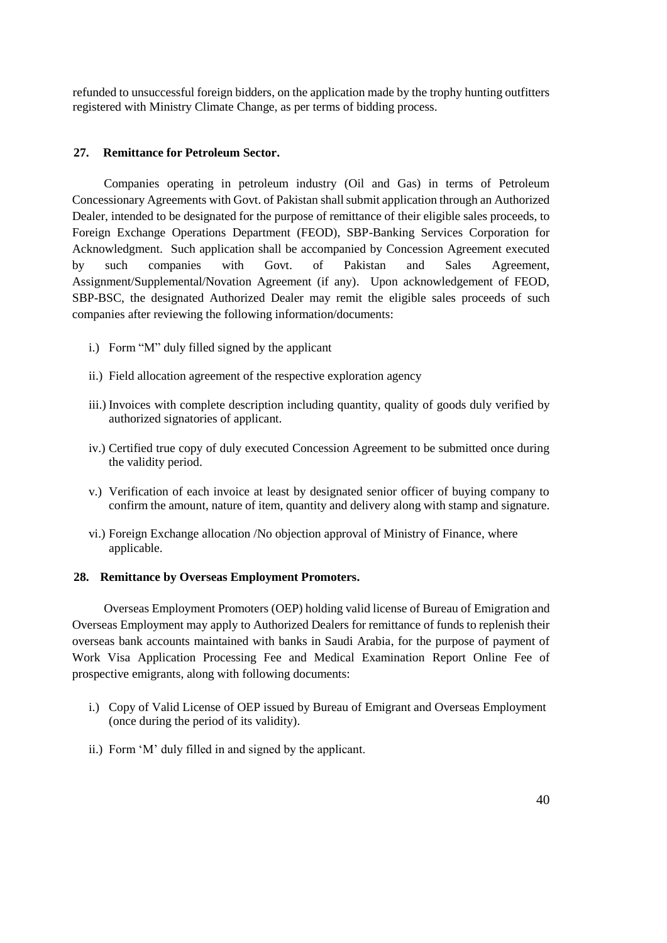refunded to unsuccessful foreign bidders, on the application made by the trophy hunting outfitters registered with Ministry Climate Change, as per terms of bidding process.

### **27. Remittance for Petroleum Sector.**

Companies operating in petroleum industry (Oil and Gas) in terms of Petroleum Concessionary Agreements with Govt. of Pakistan shall submit application through an Authorized Dealer, intended to be designated for the purpose of remittance of their eligible sales proceeds, to Foreign Exchange Operations Department (FEOD), SBP-Banking Services Corporation for Acknowledgment. Such application shall be accompanied by Concession Agreement executed by such companies with Govt. of Pakistan and Sales Agreement, Assignment/Supplemental/Novation Agreement (if any). Upon acknowledgement of FEOD, SBP-BSC, the designated Authorized Dealer may remit the eligible sales proceeds of such companies after reviewing the following information/documents:

- i.) Form "M" duly filled signed by the applicant
- ii.) Field allocation agreement of the respective exploration agency
- iii.) Invoices with complete description including quantity, quality of goods duly verified by authorized signatories of applicant.
- iv.) Certified true copy of duly executed Concession Agreement to be submitted once during the validity period.
- v.) Verification of each invoice at least by designated senior officer of buying company to confirm the amount, nature of item, quantity and delivery along with stamp and signature.
- vi.) Foreign Exchange allocation /No objection approval of Ministry of Finance, where applicable.

### **28. Remittance by Overseas Employment Promoters.**

Overseas Employment Promoters (OEP) holding valid license of Bureau of Emigration and Overseas Employment may apply to Authorized Dealers for remittance of funds to replenish their overseas bank accounts maintained with banks in Saudi Arabia, for the purpose of payment of Work Visa Application Processing Fee and Medical Examination Report Online Fee of prospective emigrants, along with following documents:

- i.) Copy of Valid License of OEP issued by Bureau of Emigrant and Overseas Employment (once during the period of its validity).
- ii.) Form 'M' duly filled in and signed by the applicant.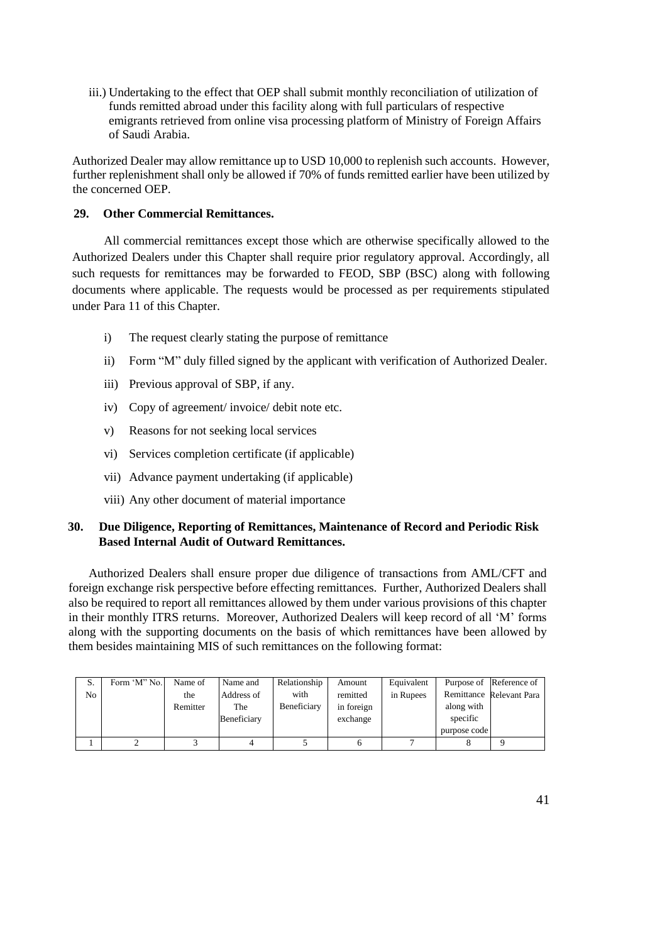iii.) Undertaking to the effect that OEP shall submit monthly reconciliation of utilization of funds remitted abroad under this facility along with full particulars of respective emigrants retrieved from online visa processing platform of Ministry of Foreign Affairs of Saudi Arabia.

Authorized Dealer may allow remittance up to USD 10,000 to replenish such accounts. However, further replenishment shall only be allowed if 70% of funds remitted earlier have been utilized by the concerned OEP.

## **29. Other Commercial Remittances.**

All commercial remittances except those which are otherwise specifically allowed to the Authorized Dealers under this Chapter shall require prior regulatory approval. Accordingly, all such requests for remittances may be forwarded to FEOD, SBP (BSC) along with following documents where applicable. The requests would be processed as per requirements stipulated under Para 11 of this Chapter.

- i) The request clearly stating the purpose of remittance
- ii) Form "M" duly filled signed by the applicant with verification of Authorized Dealer.
- iii) Previous approval of SBP, if any.
- iv) Copy of agreement/ invoice/ debit note etc.
- v) Reasons for not seeking local services
- vi) Services completion certificate (if applicable)
- vii) Advance payment undertaking (if applicable)
- viii) Any other document of material importance

### **30. Due Diligence, Reporting of Remittances, Maintenance of Record and Periodic Risk Based Internal Audit of Outward Remittances.**

Authorized Dealers shall ensure proper due diligence of transactions from AML/CFT and foreign exchange risk perspective before effecting remittances. Further, Authorized Dealers shall also be required to report all remittances allowed by them under various provisions of this chapter in their monthly ITRS returns. Moreover, Authorized Dealers will keep record of all 'M' forms along with the supporting documents on the basis of which remittances have been allowed by them besides maintaining MIS of such remittances on the following format:

| S. | Form 'M'' No. | Name of  | Name and    | Relationship | Amount     | Equivalent |              | Purpose of Reference of  |
|----|---------------|----------|-------------|--------------|------------|------------|--------------|--------------------------|
| No |               | the      | Address of  | with         | remitted   | in Rupees  |              | Remittance Relevant Para |
|    |               | Remitter | The         | Beneficiary  | in foreign |            | along with   |                          |
|    |               |          | Beneficiary |              | exchange   |            | specific     |                          |
|    |               |          |             |              |            |            | purpose code |                          |
|    |               |          |             |              | n          |            |              |                          |